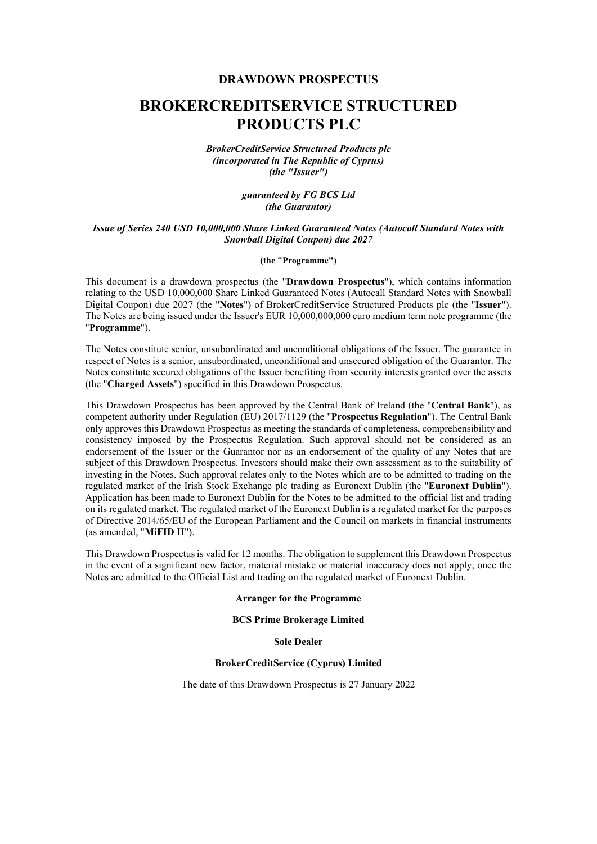#### **DRAWDOWN PROSPECTUS**

# **BROKERCREDITSERVICE STRUCTURED PRODUCTS PLC**

*BrokerCreditService Structured Products plc (incorporated in The Republic of Cyprus) (the "Issuer")*

> *guaranteed by FG BCS Ltd (the Guarantor)*

#### *Issue of Series 240 USD 10,000,000 Share Linked Guaranteed Notes (Autocall Standard Notes with Snowball Digital Coupon) due 2027*

#### **(the "Programme")**

This document is a drawdown prospectus (the "**Drawdown Prospectus**"), which contains information relating to the USD 10,000,000 Share Linked Guaranteed Notes (Autocall Standard Notes with Snowball Digital Coupon) due 2027 (the "**Notes**") of BrokerCreditService Structured Products plc (the "**Issuer**"). The Notes are being issued under the Issuer's EUR 10,000,000,000 euro medium term note programme (the "**Programme**").

The Notes constitute senior, unsubordinated and unconditional obligations of the Issuer. The guarantee in respect of Notes is a senior, unsubordinated, unconditional and unsecured obligation of the Guarantor. The Notes constitute secured obligations of the Issuer benefiting from security interests granted over the assets (the "**Charged Assets**") specified in this Drawdown Prospectus.

This Drawdown Prospectus has been approved by the Central Bank of Ireland (the "**Central Bank**"), as competent authority under Regulation (EU) 2017/1129 (the "**Prospectus Regulation**"). The Central Bank only approves this Drawdown Prospectus as meeting the standards of completeness, comprehensibility and consistency imposed by the Prospectus Regulation. Such approval should not be considered as an endorsement of the Issuer or the Guarantor nor as an endorsement of the quality of any Notes that are subject of this Drawdown Prospectus. Investors should make their own assessment as to the suitability of investing in the Notes. Such approval relates only to the Notes which are to be admitted to trading on the regulated market of the Irish Stock Exchange plc trading as Euronext Dublin (the "**Euronext Dublin**"). Application has been made to Euronext Dublin for the Notes to be admitted to the official list and trading on its regulated market. The regulated market of the Euronext Dublin is a regulated market for the purposes of Directive 2014/65/EU of the European Parliament and the Council on markets in financial instruments (as amended, "**MiFID II**").

This Drawdown Prospectus is valid for 12 months. The obligation to supplement this Drawdown Prospectus in the event of a significant new factor, material mistake or material inaccuracy does not apply, once the Notes are admitted to the Official List and trading on the regulated market of Euronext Dublin.

#### **Arranger for the Programme**

#### **BCS Prime Brokerage Limited**

**Sole Dealer** 

#### **BrokerCreditService (Cyprus) Limited**

The date of this Drawdown Prospectus is 27 January 2022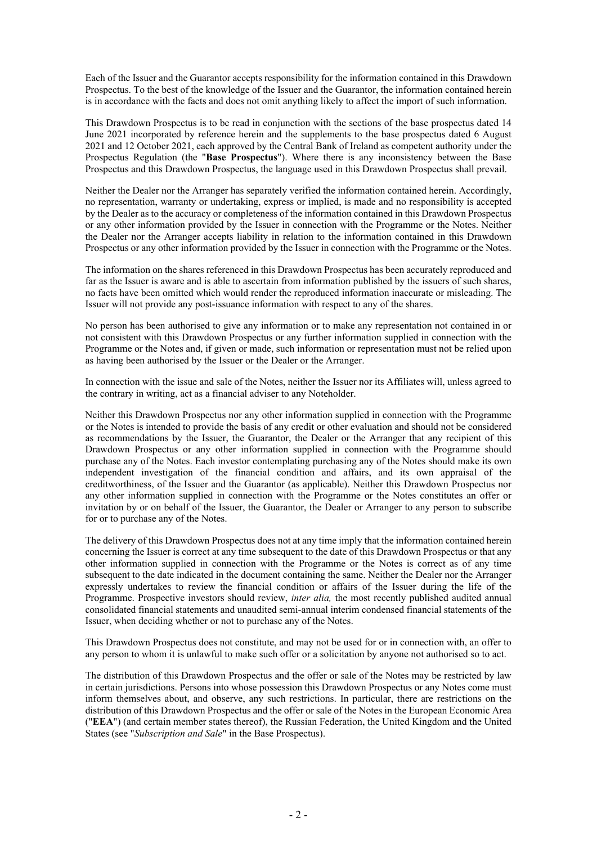Each of the Issuer and the Guarantor accepts responsibility for the information contained in this Drawdown Prospectus. To the best of the knowledge of the Issuer and the Guarantor, the information contained herein is in accordance with the facts and does not omit anything likely to affect the import of such information.

This Drawdown Prospectus is to be read in conjunction with the sections of the base prospectus dated 14 June 2021 incorporated by reference herein and the supplements to the base prospectus dated 6 August 2021 and 12 October 2021, each approved by the Central Bank of Ireland as competent authority under the Prospectus Regulation (the "**Base Prospectus**"). Where there is any inconsistency between the Base Prospectus and this Drawdown Prospectus, the language used in this Drawdown Prospectus shall prevail.

Neither the Dealer nor the Arranger has separately verified the information contained herein. Accordingly, no representation, warranty or undertaking, express or implied, is made and no responsibility is accepted by the Dealer as to the accuracy or completeness of the information contained in this Drawdown Prospectus or any other information provided by the Issuer in connection with the Programme or the Notes. Neither the Dealer nor the Arranger accepts liability in relation to the information contained in this Drawdown Prospectus or any other information provided by the Issuer in connection with the Programme or the Notes.

The information on the shares referenced in this Drawdown Prospectus has been accurately reproduced and far as the Issuer is aware and is able to ascertain from information published by the issuers of such shares, no facts have been omitted which would render the reproduced information inaccurate or misleading. The Issuer will not provide any post-issuance information with respect to any of the shares.

No person has been authorised to give any information or to make any representation not contained in or not consistent with this Drawdown Prospectus or any further information supplied in connection with the Programme or the Notes and, if given or made, such information or representation must not be relied upon as having been authorised by the Issuer or the Dealer or the Arranger.

In connection with the issue and sale of the Notes, neither the Issuer nor its Affiliates will, unless agreed to the contrary in writing, act as a financial adviser to any Noteholder.

Neither this Drawdown Prospectus nor any other information supplied in connection with the Programme or the Notes is intended to provide the basis of any credit or other evaluation and should not be considered as recommendations by the Issuer, the Guarantor, the Dealer or the Arranger that any recipient of this Drawdown Prospectus or any other information supplied in connection with the Programme should purchase any of the Notes. Each investor contemplating purchasing any of the Notes should make its own independent investigation of the financial condition and affairs, and its own appraisal of the creditworthiness, of the Issuer and the Guarantor (as applicable). Neither this Drawdown Prospectus nor any other information supplied in connection with the Programme or the Notes constitutes an offer or invitation by or on behalf of the Issuer, the Guarantor, the Dealer or Arranger to any person to subscribe for or to purchase any of the Notes.

The delivery of this Drawdown Prospectus does not at any time imply that the information contained herein concerning the Issuer is correct at any time subsequent to the date of this Drawdown Prospectus or that any other information supplied in connection with the Programme or the Notes is correct as of any time subsequent to the date indicated in the document containing the same. Neither the Dealer nor the Arranger expressly undertakes to review the financial condition or affairs of the Issuer during the life of the Programme. Prospective investors should review, *inter alia,* the most recently published audited annual consolidated financial statements and unaudited semi-annual interim condensed financial statements of the Issuer, when deciding whether or not to purchase any of the Notes.

This Drawdown Prospectus does not constitute, and may not be used for or in connection with, an offer to any person to whom it is unlawful to make such offer or a solicitation by anyone not authorised so to act.

The distribution of this Drawdown Prospectus and the offer or sale of the Notes may be restricted by law in certain jurisdictions. Persons into whose possession this Drawdown Prospectus or any Notes come must inform themselves about, and observe, any such restrictions. In particular, there are restrictions on the distribution of this Drawdown Prospectus and the offer or sale of the Notes in the European Economic Area ("**EEA**") (and certain member states thereof), the Russian Federation, the United Kingdom and the United States (see "*Subscription and Sale*" in the Base Prospectus).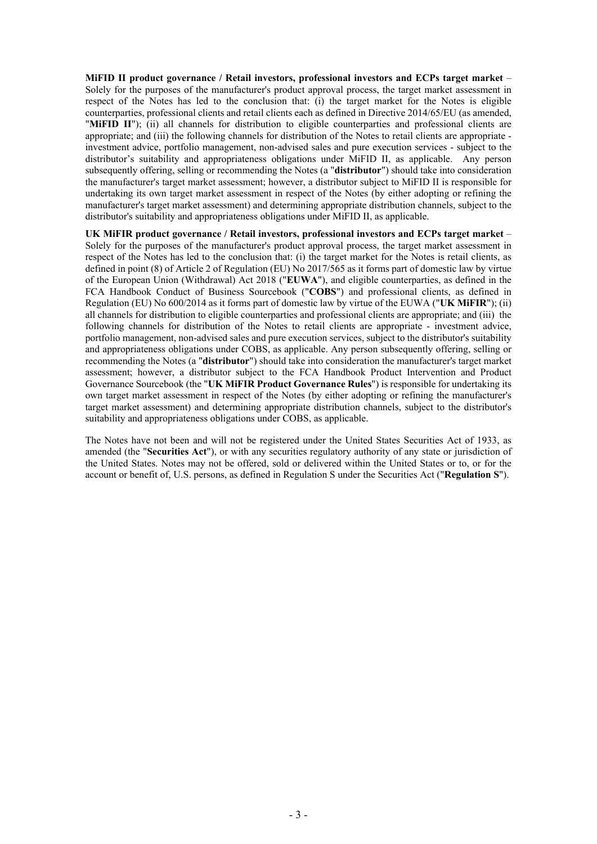**MiFID II product governance / Retail investors, professional investors and ECPs target market** – Solely for the purposes of the manufacturer's product approval process, the target market assessment in respect of the Notes has led to the conclusion that: (i) the target market for the Notes is eligible counterparties, professional clients and retail clients each as defined in Directive 2014/65/EU (as amended, "MiFID II"); (ii) all channels for distribution to eligible counterparties and professional clients are appropriate; and (iii) the following channels for distribution of the Notes to retail clients are appropriate investment advice, portfolio management, non-advised sales and pure execution services - subject to the distributor's suitability and appropriateness obligations under MiFID II, as applicable. Any person subsequently offering, selling or recommending the Notes (a "**distributor**") should take into consideration the manufacturer's target market assessment; however, a distributor subject to MiFID II is responsible for undertaking its own target market assessment in respect of the Notes (by either adopting or refining the manufacturer's target market assessment) and determining appropriate distribution channels, subject to the distributor's suitability and appropriateness obligations under MiFID II, as applicable.

**UK MiFIR product governance / Retail investors, professional investors and ECPs target market** – Solely for the purposes of the manufacturer's product approval process, the target market assessment in respect of the Notes has led to the conclusion that: (i) the target market for the Notes is retail clients, as defined in point (8) of Article 2 of Regulation (EU) No 2017/565 as it forms part of domestic law by virtue of the European Union (Withdrawal) Act 2018 ("**EUWA**"), and eligible counterparties, as defined in the FCA Handbook Conduct of Business Sourcebook ("**COBS**") and professional clients, as defined in Regulation (EU) No 600/2014 as it forms part of domestic law by virtue of the EUWA ("**UK MiFIR**"); (ii) all channels for distribution to eligible counterparties and professional clients are appropriate; and (iii) the following channels for distribution of the Notes to retail clients are appropriate - investment advice, portfolio management, non-advised sales and pure execution services, subject to the distributor's suitability and appropriateness obligations under COBS, as applicable. Any person subsequently offering, selling or recommending the Notes (a "**distributor**") should take into consideration the manufacturer's target market assessment; however, a distributor subject to the FCA Handbook Product Intervention and Product Governance Sourcebook (the "**UK MiFIR Product Governance Rules**") is responsible for undertaking its own target market assessment in respect of the Notes (by either adopting or refining the manufacturer's target market assessment) and determining appropriate distribution channels, subject to the distributor's suitability and appropriateness obligations under COBS, as applicable.

The Notes have not been and will not be registered under the United States Securities Act of 1933, as amended (the "**Securities Act**"), or with any securities regulatory authority of any state or jurisdiction of the United States. Notes may not be offered, sold or delivered within the United States or to, or for the account or benefit of, U.S. persons, as defined in Regulation S under the Securities Act ("**Regulation S**").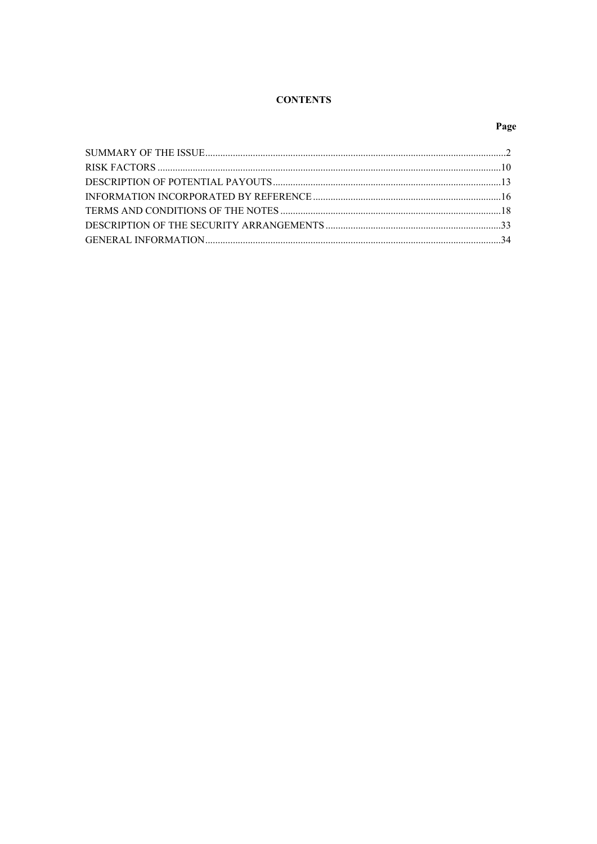# **CONTENTS**

# Page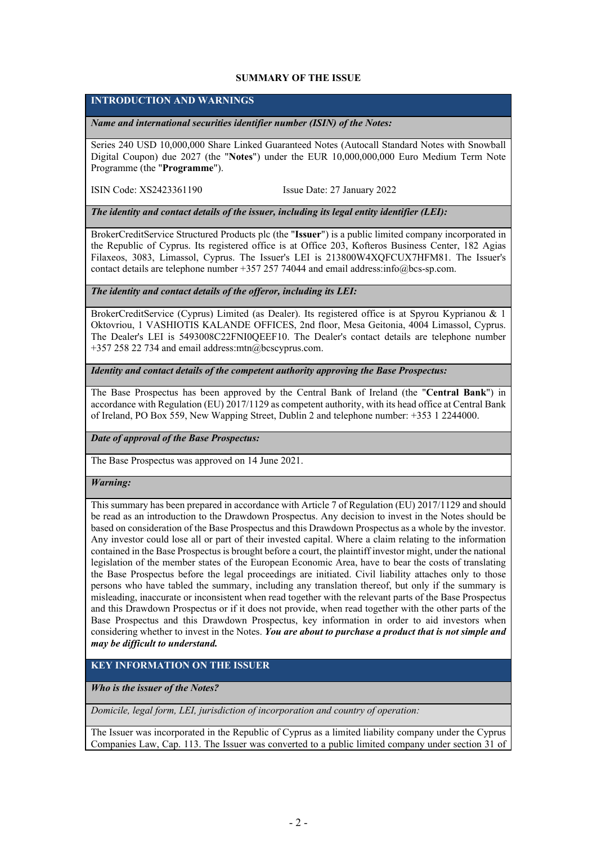#### <span id="page-4-0"></span>**SUMMARY OF THE ISSUE**

### **INTRODUCTION AND WARNINGS**

*Name and international securities identifier number (ISIN) of the Notes:*

Series 240 USD 10,000,000 Share Linked Guaranteed Notes (Autocall Standard Notes with Snowball Digital Coupon) due 2027 (the "**Notes**") under the EUR 10,000,000,000 Euro Medium Term Note Programme (the "**Programme**").

ISIN Code: XS2423361190 Issue Date: 27 January 2022

*The identity and contact details of the issuer, including its legal entity identifier (LEI):*

BrokerCreditService Structured Products plc (the "**Issuer**") is a public limited company incorporated in the Republic of Cyprus. Its registered office is at Office 203, Kofteros Business Center, 182 Agias Filaxeos, 3083, Limassol, Cyprus. The Issuer's LEI is 213800W4XQFCUX7HFM81. The Issuer's contact details are telephone number +357 257 74044 and email address:info@bcs-sp.com.

*The identity and contact details of the offeror, including its LEI:*

BrokerCreditService (Cyprus) Limited (as Dealer). Its registered office is at Spyrou Kyprianou & 1 Oktovriou, 1 VASHIOTIS KALANDE OFFICES, 2nd floor, Mesa Geitonia, 4004 Limassol, Cyprus. The Dealer's LEI is 5493008C22FNI0QEEF10. The Dealer's contact details are telephone number +357 258 22 734 and email address:mtn@bcscyprus.com.

*Identity and contact details of the competent authority approving the Base Prospectus:*

The Base Prospectus has been approved by the Central Bank of Ireland (the "**Central Bank**") in accordance with Regulation (EU) 2017/1129 as competent authority, with its head office at Central Bank of Ireland, PO Box 559, New Wapping Street, Dublin 2 and telephone number: +353 1 2244000.

*Date of approval of the Base Prospectus:*

The Base Prospectus was approved on 14 June 2021.

#### *Warning:*

This summary has been prepared in accordance with Article 7 of Regulation (EU) 2017/1129 and should be read as an introduction to the Drawdown Prospectus. Any decision to invest in the Notes should be based on consideration of the Base Prospectus and this Drawdown Prospectus as a whole by the investor. Any investor could lose all or part of their invested capital. Where a claim relating to the information contained in the Base Prospectus is brought before a court, the plaintiff investor might, under the national legislation of the member states of the European Economic Area, have to bear the costs of translating the Base Prospectus before the legal proceedings are initiated. Civil liability attaches only to those persons who have tabled the summary, including any translation thereof, but only if the summary is misleading, inaccurate or inconsistent when read together with the relevant parts of the Base Prospectus and this Drawdown Prospectus or if it does not provide, when read together with the other parts of the Base Prospectus and this Drawdown Prospectus, key information in order to aid investors when considering whether to invest in the Notes. *You are about to purchase a product that is not simple and may be difficult to understand.*

# **KEY INFORMATION ON THE ISSUER**

*Who is the issuer of the Notes?*

*Domicile, legal form, LEI, jurisdiction of incorporation and country of operation:*

The Issuer was incorporated in the Republic of Cyprus as a limited liability company under the Cyprus Companies Law, Cap. 113. The Issuer was converted to a public limited company under section 31 of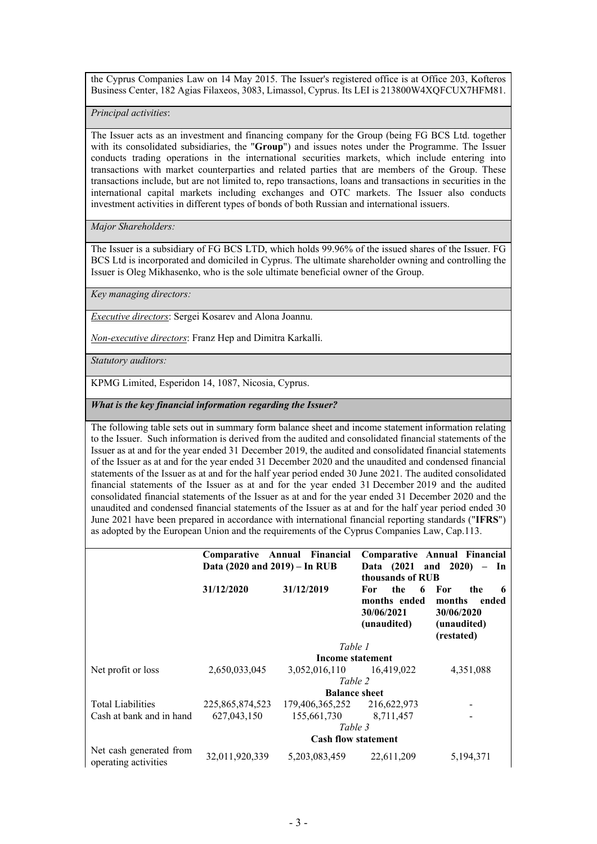the Cyprus Companies Law on 14 May 2015. The Issuer's registered office is at Office 203, Kofteros Business Center, 182 Agias Filaxeos, 3083, Limassol, Cyprus. Its LEI is 213800W4XQFCUX7HFM81.

*Principal activities*:

The Issuer acts as an investment and financing company for the Group (being FG BCS Ltd. together with its consolidated subsidiaries, the "**Group**") and issues notes under the Programme. The Issuer conducts trading operations in the international securities markets, which include entering into transactions with market counterparties and related parties that are members of the Group. These transactions include, but are not limited to, repo transactions, loans and transactions in securities in the international capital markets including exchanges and OTC markets. The Issuer also conducts investment activities in different types of bonds of both Russian and international issuers.

*Major Shareholders:*

The Issuer is a subsidiary of FG BCS LTD, which holds 99.96% of the issued shares of the Issuer. FG BCS Ltd is incorporated and domiciled in Cyprus. The ultimate shareholder owning and controlling the Issuer is Oleg Mikhasenko, who is the sole ultimate beneficial owner of the Group.

*Key managing directors:*

*Executive directors*: Sergei Kosarev and Alona Joannu.

*Non-executive directors*: Franz Hep and Dimitra Karkalli.

*Statutory auditors:*

KPMG Limited, Esperidon 14, 1087, Nicosia, Cyprus.

*What is the key financial information regarding the Issuer?*

The following table sets out in summary form balance sheet and income statement information relating to the Issuer. Such information is derived from the audited and consolidated financial statements of the Issuer as at and for the year ended 31 December 2019, the audited and consolidated financial statements of the Issuer as at and for the year ended 31 December 2020 and the unaudited and condensed financial statements of the Issuer as at and for the half year period ended 30 June 2021. The audited consolidated financial statements of the Issuer as at and for the year ended 31 December 2019 and the audited consolidated financial statements of the Issuer as at and for the year ended 31 December 2020 and the unaudited and condensed financial statements of the Issuer as at and for the half year period ended 30 June 2021 have been prepared in accordance with international financial reporting standards ("**IFRS**") as adopted by the European Union and the requirements of the Cyprus Companies Law, Cap.113.

|                                                 |                               | Comparative Annual Financial |                                                              | Comparative Annual Financial                                                     |
|-------------------------------------------------|-------------------------------|------------------------------|--------------------------------------------------------------|----------------------------------------------------------------------------------|
|                                                 | Data (2020 and 2019) – In RUB |                              | Data (2021                                                   | and $2020$ – In                                                                  |
|                                                 |                               |                              | thousands of RUB                                             |                                                                                  |
|                                                 | 31/12/2020                    | 31/12/2019                   | the<br>For<br>6<br>months ended<br>30/06/2021<br>(unaudited) | - For<br>the<br>-6<br>months<br>ended<br>30/06/2020<br>(unaudited)<br>(restated) |
|                                                 |                               | Table 1                      |                                                              |                                                                                  |
|                                                 |                               | Income statement             |                                                              |                                                                                  |
| Net profit or loss                              | 2,650,033,045                 | 3,052,016,110 16,419,022     |                                                              | 4,351,088                                                                        |
|                                                 |                               | Table 2                      |                                                              |                                                                                  |
|                                                 |                               | <b>Balance sheet</b>         |                                                              |                                                                                  |
| <b>Total Liabilities</b>                        | 225,865,874,523               | 179,406,365,252              | 216,622,973                                                  |                                                                                  |
| Cash at bank and in hand                        | 627,043,150                   | 155,661,730                  | 8,711,457                                                    |                                                                                  |
|                                                 |                               | Table 3                      |                                                              |                                                                                  |
|                                                 |                               | <b>Cash flow statement</b>   |                                                              |                                                                                  |
| Net cash generated from<br>operating activities | 32,011,920,339                | 5, 203, 083, 459             | 22,611,209                                                   | 5,194,371                                                                        |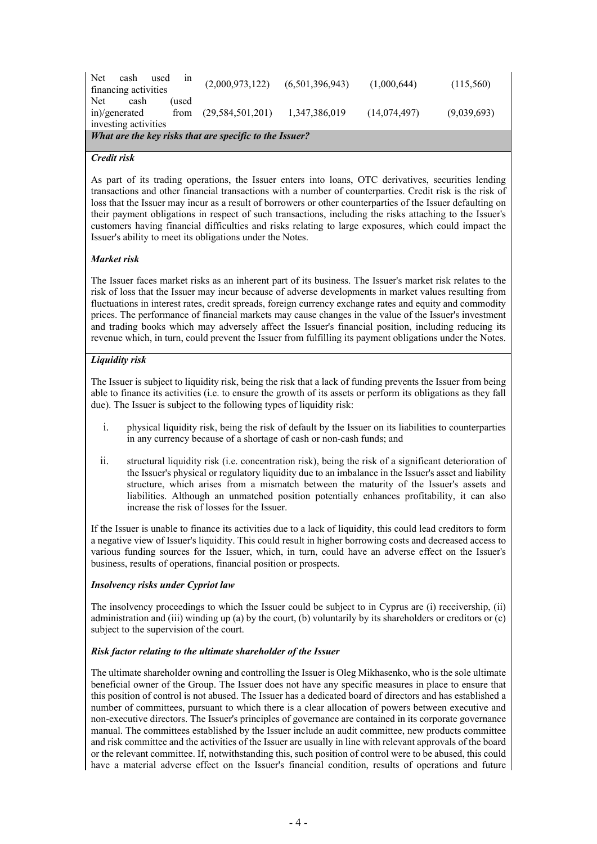| Net<br>cash                                             | used<br>1n | (2,000,973,122)     | (6,501,396,943) | (1,000,644)  | (115,560)   |  |
|---------------------------------------------------------|------------|---------------------|-----------------|--------------|-------------|--|
| financing activities                                    |            |                     |                 |              |             |  |
| Net.<br>cash                                            | 'used      |                     |                 |              |             |  |
| in)/generated                                           | from       | (29, 584, 501, 201) | 1,347,386,019   | (14,074,497) | (9,039,693) |  |
| investing activities                                    |            |                     |                 |              |             |  |
| What are the key risks that are specific to the Issuer? |            |                     |                 |              |             |  |

#### *Credit risk*

As part of its trading operations, the Issuer enters into loans, OTC derivatives, securities lending transactions and other financial transactions with a number of counterparties. Credit risk is the risk of loss that the Issuer may incur as a result of borrowers or other counterparties of the Issuer defaulting on their payment obligations in respect of such transactions, including the risks attaching to the Issuer's customers having financial difficulties and risks relating to large exposures, which could impact the Issuer's ability to meet its obligations under the Notes.

#### *Market risk*

The Issuer faces market risks as an inherent part of its business. The Issuer's market risk relates to the risk of loss that the Issuer may incur because of adverse developments in market values resulting from fluctuations in interest rates, credit spreads, foreign currency exchange rates and equity and commodity prices. The performance of financial markets may cause changes in the value of the Issuer's investment and trading books which may adversely affect the Issuer's financial position, including reducing its revenue which, in turn, could prevent the Issuer from fulfilling its payment obligations under the Notes.

#### *Liquidity risk*

The Issuer is subject to liquidity risk, being the risk that a lack of funding prevents the Issuer from being able to finance its activities (i.e. to ensure the growth of its assets or perform its obligations as they fall due). The Issuer is subject to the following types of liquidity risk:

- i. physical liquidity risk, being the risk of default by the Issuer on its liabilities to counterparties in any currency because of a shortage of cash or non-cash funds; and
- ii. structural liquidity risk (i.e. concentration risk), being the risk of a significant deterioration of the Issuer's physical or regulatory liquidity due to an imbalance in the Issuer's asset and liability structure, which arises from a mismatch between the maturity of the Issuer's assets and liabilities. Although an unmatched position potentially enhances profitability, it can also increase the risk of losses for the Issuer.

If the Issuer is unable to finance its activities due to a lack of liquidity, this could lead creditors to form a negative view of Issuer's liquidity. This could result in higher borrowing costs and decreased access to various funding sources for the Issuer, which, in turn, could have an adverse effect on the Issuer's business, results of operations, financial position or prospects.

#### *Insolvency risks under Cypriot law*

The insolvency proceedings to which the Issuer could be subject to in Cyprus are (i) receivership, (ii) administration and (iii) winding up (a) by the court, (b) voluntarily by its shareholders or creditors or (c) subject to the supervision of the court.

#### *Risk factor relating to the ultimate shareholder of the Issuer*

The ultimate shareholder owning and controlling the Issuer is Oleg Mikhasenko, who is the sole ultimate beneficial owner of the Group. The Issuer does not have any specific measures in place to ensure that this position of control is not abused. The Issuer has a dedicated board of directors and has established a number of committees, pursuant to which there is a clear allocation of powers between executive and non-executive directors. The Issuer's principles of governance are contained in its corporate governance manual. The committees established by the Issuer include an audit committee, new products committee and risk committee and the activities of the Issuer are usually in line with relevant approvals of the board or the relevant committee. If, notwithstanding this, such position of control were to be abused, this could have a material adverse effect on the Issuer's financial condition, results of operations and future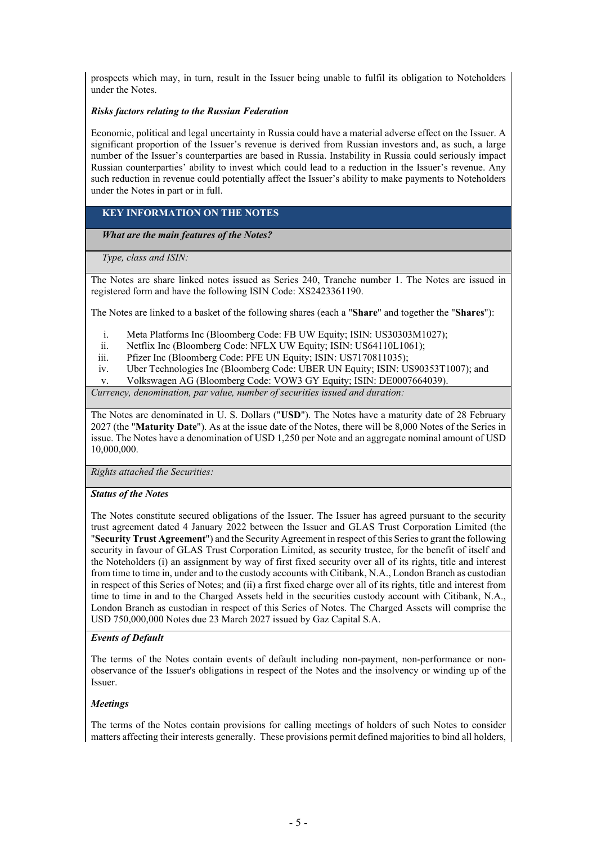prospects which may, in turn, result in the Issuer being unable to fulfil its obligation to Noteholders under the Notes.

#### *Risks factors relating to the Russian Federation*

Economic, political and legal uncertainty in Russia could have a material adverse effect on the Issuer. A significant proportion of the Issuer's revenue is derived from Russian investors and, as such, a large number of the Issuer's counterparties are based in Russia. Instability in Russia could seriously impact Russian counterparties' ability to invest which could lead to a reduction in the Issuer's revenue. Any such reduction in revenue could potentially affect the Issuer's ability to make payments to Noteholders under the Notes in part or in full.

# **KEY INFORMATION ON THE NOTES**

*What are the main features of the Notes?*

*Type, class and ISIN:*

The Notes are share linked notes issued as Series 240, Tranche number 1. The Notes are issued in registered form and have the following ISIN Code: XS2423361190.

The Notes are linked to a basket of the following shares (each a "**Share**" and together the "**Shares**"):

- i. Meta Platforms Inc (Bloomberg Code: FB UW Equity; ISIN: US30303M1027);
- ii. Netflix Inc (Bloomberg Code: NFLX UW Equity; ISIN: US64110L1061);
- iii. Pfizer Inc (Bloomberg Code: PFE UN Equity; ISIN: US7170811035);
- iv. Uber Technologies Inc (Bloomberg Code: UBER UN Equity; ISIN: US90353T1007); and
- v. Volkswagen AG (Bloomberg Code: VOW3 GY Equity; ISIN: DE0007664039).

*Currency, denomination, par value, number of securities issued and duration:*

The Notes are denominated in U. S. Dollars ("**USD**"). The Notes have a maturity date of 28 February 2027 (the "**Maturity Date**"). As at the issue date of the Notes, there will be 8,000 Notes of the Series in issue. The Notes have a denomination of USD 1,250 per Note and an aggregate nominal amount of USD 10,000,000.

*Rights attached the Securities:*

#### *Status of the Notes*

The Notes constitute secured obligations of the Issuer. The Issuer has agreed pursuant to the security trust agreement dated 4 January 2022 between the Issuer and GLAS Trust Corporation Limited (the "**Security Trust Agreement**") and the Security Agreement in respect of this Series to grant the following security in favour of GLAS Trust Corporation Limited, as security trustee, for the benefit of itself and the Noteholders (i) an assignment by way of first fixed security over all of its rights, title and interest from time to time in, under and to the custody accounts with Citibank, N.A., London Branch as custodian in respect of this Series of Notes; and (ii) a first fixed charge over all of its rights, title and interest from time to time in and to the Charged Assets held in the securities custody account with Citibank, N.A., London Branch as custodian in respect of this Series of Notes. The Charged Assets will comprise the USD 750,000,000 Notes due 23 March 2027 issued by Gaz Capital S.A.

#### *Events of Default*

The terms of the Notes contain events of default including non-payment, non-performance or nonobservance of the Issuer's obligations in respect of the Notes and the insolvency or winding up of the Issuer.

#### *Meetings*

The terms of the Notes contain provisions for calling meetings of holders of such Notes to consider matters affecting their interests generally. These provisions permit defined majorities to bind all holders,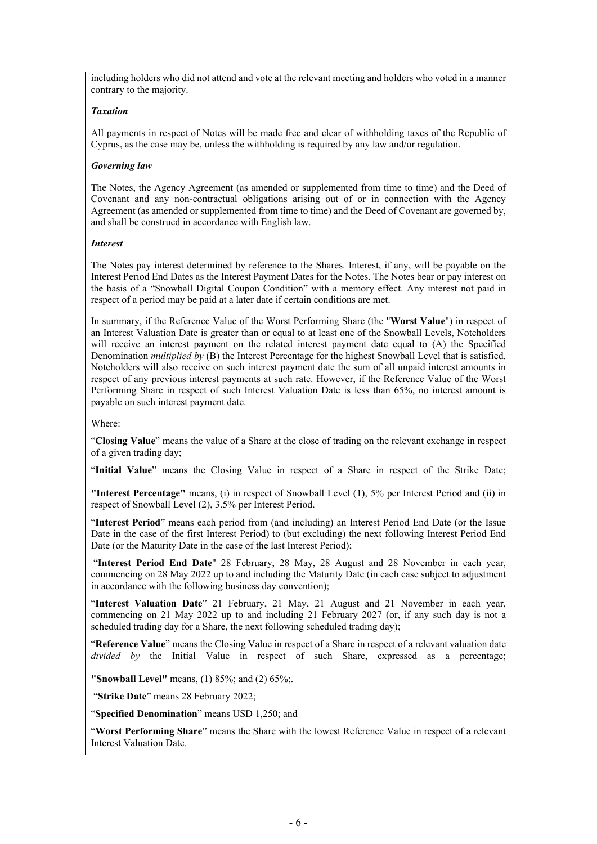including holders who did not attend and vote at the relevant meeting and holders who voted in a manner contrary to the majority.

#### *Taxation*

All payments in respect of Notes will be made free and clear of withholding taxes of the Republic of Cyprus, as the case may be, unless the withholding is required by any law and/or regulation.

#### *Governing law*

The Notes, the Agency Agreement (as amended or supplemented from time to time) and the Deed of Covenant and any non-contractual obligations arising out of or in connection with the Agency Agreement (as amended or supplemented from time to time) and the Deed of Covenant are governed by, and shall be construed in accordance with English law.

#### *Interest*

The Notes pay interest determined by reference to the Shares. Interest, if any, will be payable on the Interest Period End Dates as the Interest Payment Dates for the Notes. The Notes bear or pay interest on the basis of a "Snowball Digital Coupon Condition" with a memory effect. Any interest not paid in respect of a period may be paid at a later date if certain conditions are met.

In summary, if the Reference Value of the Worst Performing Share (the "**Worst Value**") in respect of an Interest Valuation Date is greater than or equal to at least one of the Snowball Levels, Noteholders will receive an interest payment on the related interest payment date equal to (A) the Specified Denomination *multiplied by* (B) the Interest Percentage for the highest Snowball Level that is satisfied. Noteholders will also receive on such interest payment date the sum of all unpaid interest amounts in respect of any previous interest payments at such rate. However, if the Reference Value of the Worst Performing Share in respect of such Interest Valuation Date is less than 65%, no interest amount is payable on such interest payment date.

Where:

"**Closing Value**" means the value of a Share at the close of trading on the relevant exchange in respect of a given trading day;

"**Initial Value**" means the Closing Value in respect of a Share in respect of the Strike Date;

**"Interest Percentage"** means, (i) in respect of Snowball Level (1), 5% per Interest Period and (ii) in respect of Snowball Level (2), 3.5% per Interest Period.

"**Interest Period**" means each period from (and including) an Interest Period End Date (or the Issue Date in the case of the first Interest Period) to (but excluding) the next following Interest Period End Date (or the Maturity Date in the case of the last Interest Period);

 "**Interest Period End Date**" 28 February, 28 May, 28 August and 28 November in each year, commencing on 28 May 2022 up to and including the Maturity Date (in each case subject to adjustment in accordance with the following business day convention);

"**Interest Valuation Date**" 21 February, 21 May, 21 August and 21 November in each year, commencing on 21 May 2022 up to and including 21 February 2027 (or, if any such day is not a scheduled trading day for a Share, the next following scheduled trading day);

"**Reference Value**" means the Closing Value in respect of a Share in respect of a relevant valuation date *divided by* the Initial Value in respect of such Share, expressed as a percentage;

**"Snowball Level"** means, (1) 85%; and (2) 65%;.

"**Strike Date**" means 28 February 2022;

"**Specified Denomination**" means USD 1,250; and

"**Worst Performing Share**" means the Share with the lowest Reference Value in respect of a relevant Interest Valuation Date.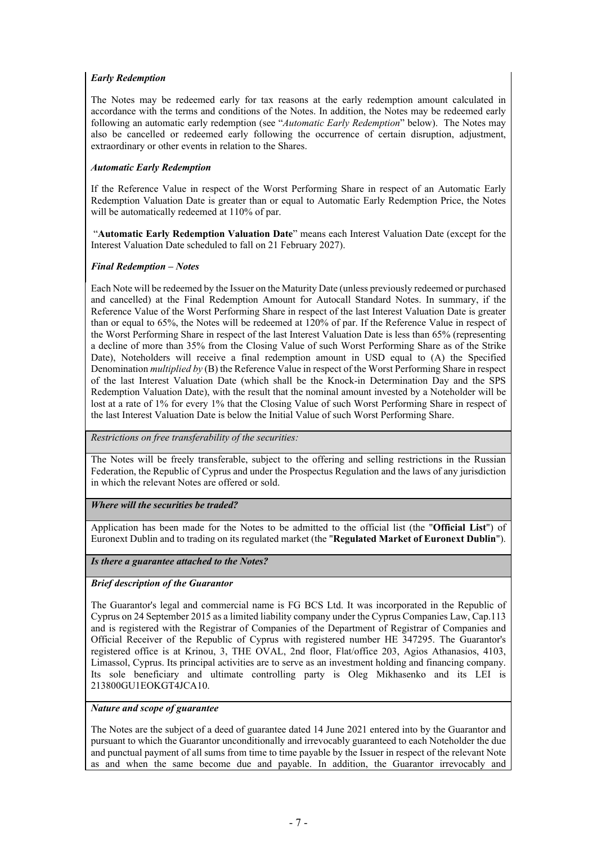#### *Early Redemption*

The Notes may be redeemed early for tax reasons at the early redemption amount calculated in accordance with the terms and conditions of the Notes. In addition, the Notes may be redeemed early following an automatic early redemption (see "*Automatic Early Redemption*" below). The Notes may also be cancelled or redeemed early following the occurrence of certain disruption, adjustment, extraordinary or other events in relation to the Shares.

#### *Automatic Early Redemption*

If the Reference Value in respect of the Worst Performing Share in respect of an Automatic Early Redemption Valuation Date is greater than or equal to Automatic Early Redemption Price, the Notes will be automatically redeemed at 110% of par.

 "**Automatic Early Redemption Valuation Date**" means each Interest Valuation Date (except for the Interest Valuation Date scheduled to fall on 21 February 2027).

#### *Final Redemption – Notes*

Each Note will be redeemed by the Issuer on the Maturity Date (unless previously redeemed or purchased and cancelled) at the Final Redemption Amount for Autocall Standard Notes. In summary, if the Reference Value of the Worst Performing Share in respect of the last Interest Valuation Date is greater than or equal to 65%, the Notes will be redeemed at 120% of par. If the Reference Value in respect of the Worst Performing Share in respect of the last Interest Valuation Date is less than 65% (representing a decline of more than 35% from the Closing Value of such Worst Performing Share as of the Strike Date), Noteholders will receive a final redemption amount in USD equal to (A) the Specified Denomination *multiplied by* (B) the Reference Value in respect of the Worst Performing Share in respect of the last Interest Valuation Date (which shall be the Knock-in Determination Day and the SPS Redemption Valuation Date), with the result that the nominal amount invested by a Noteholder will be lost at a rate of 1% for every 1% that the Closing Value of such Worst Performing Share in respect of the last Interest Valuation Date is below the Initial Value of such Worst Performing Share.

### *Restrictions on free transferability of the securities:*

The Notes will be freely transferable, subject to the offering and selling restrictions in the Russian Federation, the Republic of Cyprus and under the Prospectus Regulation and the laws of any jurisdiction in which the relevant Notes are offered or sold.

#### *Where will the securities be traded?*

Application has been made for the Notes to be admitted to the official list (the "**Official List**") of Euronext Dublin and to trading on its regulated market (the "**Regulated Market of Euronext Dublin**").

#### *Is there a guarantee attached to the Notes?*

#### *Brief description of the Guarantor*

The Guarantor's legal and commercial name is FG BCS Ltd. It was incorporated in the Republic of Cyprus on 24 September 2015 as a limited liability company under the Cyprus Companies Law, Cap.113 and is registered with the Registrar of Companies of the Department of Registrar of Companies and Official Receiver of the Republic of Cyprus with registered number HE 347295. The Guarantor's registered office is at Krinou, 3, THE OVAL, 2nd floor, Flat/office 203, Agios Athanasios, 4103, Limassol, Cyprus. Its principal activities are to serve as an investment holding and financing company. Its sole beneficiary and ultimate controlling party is Oleg Mikhasenko and its LEI is 213800GU1EOKGT4JCA10.

#### *Nature and scope of guarantee*

The Notes are the subject of a deed of guarantee dated 14 June 2021 entered into by the Guarantor and pursuant to which the Guarantor unconditionally and irrevocably guaranteed to each Noteholder the due and punctual payment of all sums from time to time payable by the Issuer in respect of the relevant Note as and when the same become due and payable. In addition, the Guarantor irrevocably and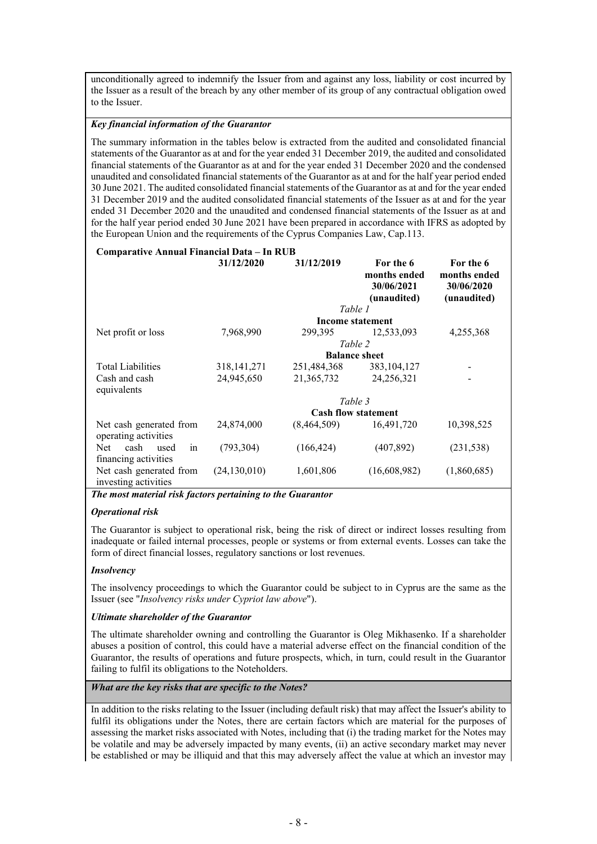unconditionally agreed to indemnify the Issuer from and against any loss, liability or cost incurred by the Issuer as a result of the breach by any other member of its group of any contractual obligation owed to the Issuer.

#### *Key financial information of the Guarantor*

The summary information in the tables below is extracted from the audited and consolidated financial statements of the Guarantor as at and for the year ended 31 December 2019, the audited and consolidated financial statements of the Guarantor as at and for the year ended 31 December 2020 and the condensed unaudited and consolidated financial statements of the Guarantor as at and for the half year period ended 30 June 2021. The audited consolidated financial statements of the Guarantor as at and for the year ended 31 December 2019 and the audited consolidated financial statements of the Issuer as at and for the year ended 31 December 2020 and the unaudited and condensed financial statements of the Issuer as at and for the half year period ended 30 June 2021 have been prepared in accordance with IFRS as adopted by the European Union and the requirements of the Cyprus Companies Law, Cap.113.

#### **Comparative Annual Financial Data – In RUB**

|                                                 | 31/12/2020     | 31/12/2019  | For the 6<br>months ended<br>30/06/2021<br>(unaudited) | For the 6<br>months ended<br>30/06/2020<br>(unaudited) |
|-------------------------------------------------|----------------|-------------|--------------------------------------------------------|--------------------------------------------------------|
|                                                 |                |             | Table 1                                                |                                                        |
|                                                 |                |             | <b>Income statement</b>                                |                                                        |
| Net profit or loss                              | 7,968,990      | 299,395     | 12,533,093                                             | 4,255,368                                              |
|                                                 |                |             | Table 2                                                |                                                        |
|                                                 |                |             | <b>Balance sheet</b>                                   |                                                        |
| <b>Total Liabilities</b>                        | 318, 141, 271  | 251,484,368 | 383, 104, 127                                          |                                                        |
| Cash and cash                                   | 24,945,650     | 21,365,732  | 24,256,321                                             |                                                        |
| equivalents                                     |                |             |                                                        |                                                        |
|                                                 |                |             | Table 3                                                |                                                        |
|                                                 |                |             | <b>Cash flow statement</b>                             |                                                        |
| Net cash generated from<br>operating activities | 24,874,000     | (8,464,509) | 16,491,720                                             | 10,398,525                                             |
| cash<br>Net.<br>used<br>in                      | (793, 304)     | (166, 424)  | (407, 892)                                             | (231, 538)                                             |
| financing activities                            |                |             |                                                        |                                                        |
| Net cash generated from                         | (24, 130, 010) | 1,601,806   | (16,608,982)                                           | (1,860,685)                                            |
| investing activities                            |                |             |                                                        |                                                        |

*The most material risk factors pertaining to the Guarantor*

#### *Operational risk*

The Guarantor is subject to operational risk, being the risk of direct or indirect losses resulting from inadequate or failed internal processes, people or systems or from external events. Losses can take the form of direct financial losses, regulatory sanctions or lost revenues.

#### *Insolvency*

The insolvency proceedings to which the Guarantor could be subject to in Cyprus are the same as the Issuer (see "*Insolvency risks under Cypriot law above*").

#### *Ultimate shareholder of the Guarantor*

The ultimate shareholder owning and controlling the Guarantor is Oleg Mikhasenko. If a shareholder abuses a position of control, this could have a material adverse effect on the financial condition of the Guarantor, the results of operations and future prospects, which, in turn, could result in the Guarantor failing to fulfil its obligations to the Noteholders.

#### *What are the key risks that are specific to the Notes?*

In addition to the risks relating to the Issuer (including default risk) that may affect the Issuer's ability to fulfil its obligations under the Notes, there are certain factors which are material for the purposes of assessing the market risks associated with Notes, including that (i) the trading market for the Notes may be volatile and may be adversely impacted by many events, (ii) an active secondary market may never be established or may be illiquid and that this may adversely affect the value at which an investor may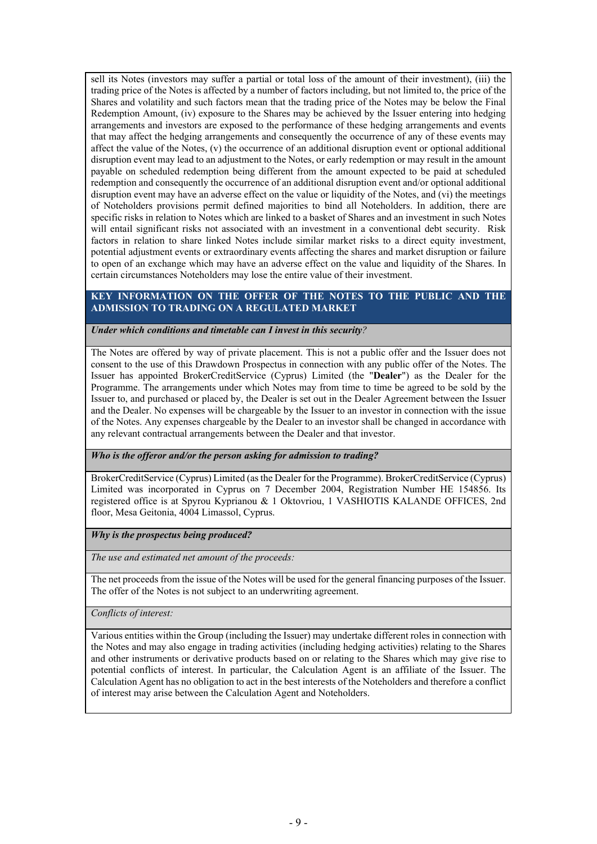sell its Notes (investors may suffer a partial or total loss of the amount of their investment), (iii) the trading price of the Notes is affected by a number of factors including, but not limited to, the price of the Shares and volatility and such factors mean that the trading price of the Notes may be below the Final Redemption Amount, (iv) exposure to the Shares may be achieved by the Issuer entering into hedging arrangements and investors are exposed to the performance of these hedging arrangements and events that may affect the hedging arrangements and consequently the occurrence of any of these events may affect the value of the Notes, (v) the occurrence of an additional disruption event or optional additional disruption event may lead to an adjustment to the Notes, or early redemption or may result in the amount payable on scheduled redemption being different from the amount expected to be paid at scheduled redemption and consequently the occurrence of an additional disruption event and/or optional additional disruption event may have an adverse effect on the value or liquidity of the Notes, and (vi) the meetings of Noteholders provisions permit defined majorities to bind all Noteholders. In addition, there are specific risks in relation to Notes which are linked to a basket of Shares and an investment in such Notes will entail significant risks not associated with an investment in a conventional debt security. Risk factors in relation to share linked Notes include similar market risks to a direct equity investment, potential adjustment events or extraordinary events affecting the shares and market disruption or failure to open of an exchange which may have an adverse effect on the value and liquidity of the Shares. In certain circumstances Noteholders may lose the entire value of their investment.

#### **KEY INFORMATION ON THE OFFER OF THE NOTES TO THE PUBLIC AND THE ADMISSION TO TRADING ON A REGULATED MARKET**

#### *Under which conditions and timetable can I invest in this security?*

The Notes are offered by way of private placement. This is not a public offer and the Issuer does not consent to the use of this Drawdown Prospectus in connection with any public offer of the Notes. The Issuer has appointed BrokerCreditService (Cyprus) Limited (the "**Dealer**") as the Dealer for the Programme. The arrangements under which Notes may from time to time be agreed to be sold by the Issuer to, and purchased or placed by, the Dealer is set out in the Dealer Agreement between the Issuer and the Dealer. No expenses will be chargeable by the Issuer to an investor in connection with the issue of the Notes. Any expenses chargeable by the Dealer to an investor shall be changed in accordance with any relevant contractual arrangements between the Dealer and that investor.

## *Who is the offeror and/or the person asking for admission to trading?*

BrokerCreditService (Cyprus) Limited (as the Dealer for the Programme). BrokerCreditService (Cyprus) Limited was incorporated in Cyprus on 7 December 2004, Registration Number HE 154856. Its registered office is at Spyrou Kyprianou & 1 Oktovriou, 1 VASHIOTIS KALANDE OFFICES, 2nd floor, Mesa Geitonia, 4004 Limassol, Cyprus.

#### *Why is the prospectus being produced?*

*The use and estimated net amount of the proceeds:*

The net proceeds from the issue of the Notes will be used for the general financing purposes of the Issuer. The offer of the Notes is not subject to an underwriting agreement.

# *Conflicts of interest:*

Various entities within the Group (including the Issuer) may undertake different roles in connection with the Notes and may also engage in trading activities (including hedging activities) relating to the Shares and other instruments or derivative products based on or relating to the Shares which may give rise to potential conflicts of interest. In particular, the Calculation Agent is an affiliate of the Issuer. The Calculation Agent has no obligation to act in the best interests of the Noteholders and therefore a conflict of interest may arise between the Calculation Agent and Noteholders.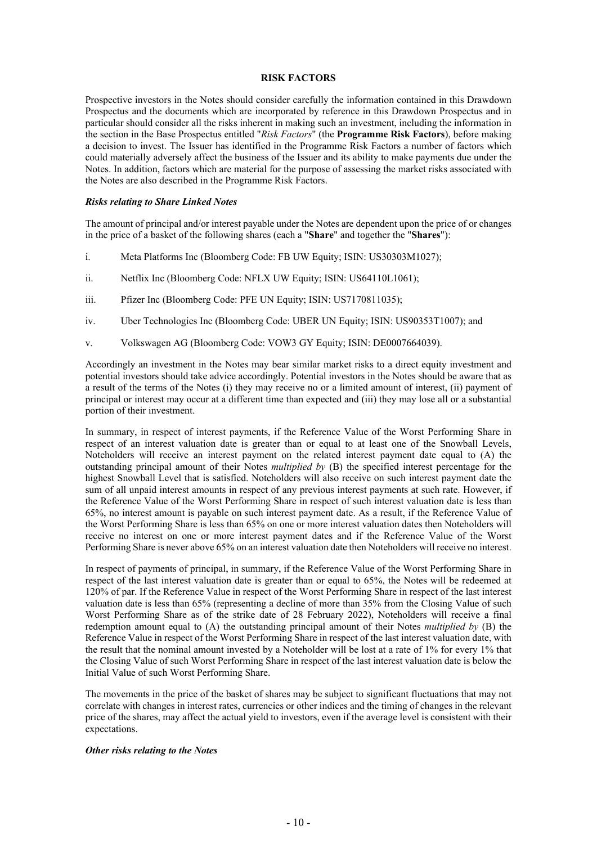#### <span id="page-12-0"></span>**RISK FACTORS**

Prospective investors in the Notes should consider carefully the information contained in this Drawdown Prospectus and the documents which are incorporated by reference in this Drawdown Prospectus and in particular should consider all the risks inherent in making such an investment, including the information in the section in the Base Prospectus entitled "*Risk Factors*" (the **Programme Risk Factors**), before making a decision to invest. The Issuer has identified in the Programme Risk Factors a number of factors which could materially adversely affect the business of the Issuer and its ability to make payments due under the Notes. In addition, factors which are material for the purpose of assessing the market risks associated with the Notes are also described in the Programme Risk Factors.

#### *Risks relating to Share Linked Notes*

The amount of principal and/or interest payable under the Notes are dependent upon the price of or changes in the price of a basket of the following shares (each a "**Share**" and together the "**Shares**"):

- i. Meta Platforms Inc (Bloomberg Code: FB UW Equity; ISIN: US30303M1027);
- ii. Netflix Inc (Bloomberg Code: NFLX UW Equity; ISIN: US64110L1061);
- iii. Pfizer Inc (Bloomberg Code: PFE UN Equity; ISIN: US7170811035);
- iv. Uber Technologies Inc (Bloomberg Code: UBER UN Equity; ISIN: US90353T1007); and
- v. Volkswagen AG (Bloomberg Code: VOW3 GY Equity; ISIN: DE0007664039).

Accordingly an investment in the Notes may bear similar market risks to a direct equity investment and potential investors should take advice accordingly. Potential investors in the Notes should be aware that as a result of the terms of the Notes (i) they may receive no or a limited amount of interest, (ii) payment of principal or interest may occur at a different time than expected and (iii) they may lose all or a substantial portion of their investment.

In summary, in respect of interest payments, if the Reference Value of the Worst Performing Share in respect of an interest valuation date is greater than or equal to at least one of the Snowball Levels, Noteholders will receive an interest payment on the related interest payment date equal to (A) the outstanding principal amount of their Notes *multiplied by* (B) the specified interest percentage for the highest Snowball Level that is satisfied. Noteholders will also receive on such interest payment date the sum of all unpaid interest amounts in respect of any previous interest payments at such rate. However, if the Reference Value of the Worst Performing Share in respect of such interest valuation date is less than 65%, no interest amount is payable on such interest payment date. As a result, if the Reference Value of the Worst Performing Share is less than 65% on one or more interest valuation dates then Noteholders will receive no interest on one or more interest payment dates and if the Reference Value of the Worst Performing Share is never above 65% on an interest valuation date then Noteholders will receive no interest.

In respect of payments of principal, in summary, if the Reference Value of the Worst Performing Share in respect of the last interest valuation date is greater than or equal to 65%, the Notes will be redeemed at 120% of par. If the Reference Value in respect of the Worst Performing Share in respect of the last interest valuation date is less than 65% (representing a decline of more than 35% from the Closing Value of such Worst Performing Share as of the strike date of 28 February 2022), Noteholders will receive a final redemption amount equal to (A) the outstanding principal amount of their Notes *multiplied by* (B) the Reference Value in respect of the Worst Performing Share in respect of the last interest valuation date, with the result that the nominal amount invested by a Noteholder will be lost at a rate of 1% for every 1% that the Closing Value of such Worst Performing Share in respect of the last interest valuation date is below the Initial Value of such Worst Performing Share.

The movements in the price of the basket of shares may be subject to significant fluctuations that may not correlate with changes in interest rates, currencies or other indices and the timing of changes in the relevant price of the shares, may affect the actual yield to investors, even if the average level is consistent with their expectations.

#### *Other risks relating to the Notes*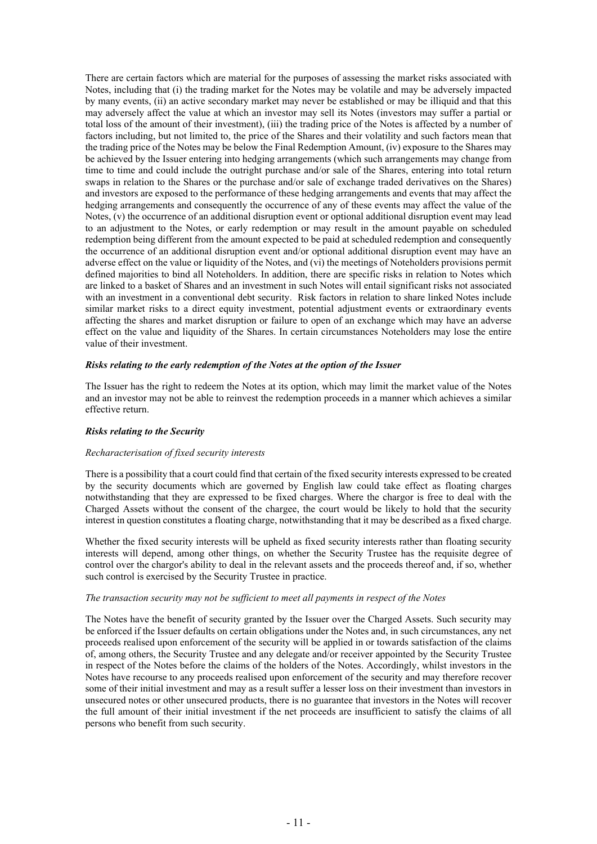There are certain factors which are material for the purposes of assessing the market risks associated with Notes, including that (i) the trading market for the Notes may be volatile and may be adversely impacted by many events, (ii) an active secondary market may never be established or may be illiquid and that this may adversely affect the value at which an investor may sell its Notes (investors may suffer a partial or total loss of the amount of their investment), (iii) the trading price of the Notes is affected by a number of factors including, but not limited to, the price of the Shares and their volatility and such factors mean that the trading price of the Notes may be below the Final Redemption Amount, (iv) exposure to the Shares may be achieved by the Issuer entering into hedging arrangements (which such arrangements may change from time to time and could include the outright purchase and/or sale of the Shares, entering into total return swaps in relation to the Shares or the purchase and/or sale of exchange traded derivatives on the Shares) and investors are exposed to the performance of these hedging arrangements and events that may affect the hedging arrangements and consequently the occurrence of any of these events may affect the value of the Notes, (v) the occurrence of an additional disruption event or optional additional disruption event may lead to an adjustment to the Notes, or early redemption or may result in the amount payable on scheduled redemption being different from the amount expected to be paid at scheduled redemption and consequently the occurrence of an additional disruption event and/or optional additional disruption event may have an adverse effect on the value or liquidity of the Notes, and (vi) the meetings of Noteholders provisions permit defined majorities to bind all Noteholders. In addition, there are specific risks in relation to Notes which are linked to a basket of Shares and an investment in such Notes will entail significant risks not associated with an investment in a conventional debt security. Risk factors in relation to share linked Notes include similar market risks to a direct equity investment, potential adjustment events or extraordinary events affecting the shares and market disruption or failure to open of an exchange which may have an adverse effect on the value and liquidity of the Shares. In certain circumstances Noteholders may lose the entire value of their investment.

#### *Risks relating to the early redemption of the Notes at the option of the Issuer*

The Issuer has the right to redeem the Notes at its option, which may limit the market value of the Notes and an investor may not be able to reinvest the redemption proceeds in a manner which achieves a similar effective return.

#### *Risks relating to the Security*

#### *Recharacterisation of fixed security interests*

There is a possibility that a court could find that certain of the fixed security interests expressed to be created by the security documents which are governed by English law could take effect as floating charges notwithstanding that they are expressed to be fixed charges. Where the chargor is free to deal with the Charged Assets without the consent of the chargee, the court would be likely to hold that the security interest in question constitutes a floating charge, notwithstanding that it may be described as a fixed charge.

Whether the fixed security interests will be upheld as fixed security interests rather than floating security interests will depend, among other things, on whether the Security Trustee has the requisite degree of control over the chargor's ability to deal in the relevant assets and the proceeds thereof and, if so, whether such control is exercised by the Security Trustee in practice.

#### *The transaction security may not be sufficient to meet all payments in respect of the Notes*

The Notes have the benefit of security granted by the Issuer over the Charged Assets. Such security may be enforced if the Issuer defaults on certain obligations under the Notes and, in such circumstances, any net proceeds realised upon enforcement of the security will be applied in or towards satisfaction of the claims of, among others, the Security Trustee and any delegate and/or receiver appointed by the Security Trustee in respect of the Notes before the claims of the holders of the Notes. Accordingly, whilst investors in the Notes have recourse to any proceeds realised upon enforcement of the security and may therefore recover some of their initial investment and may as a result suffer a lesser loss on their investment than investors in unsecured notes or other unsecured products, there is no guarantee that investors in the Notes will recover the full amount of their initial investment if the net proceeds are insufficient to satisfy the claims of all persons who benefit from such security.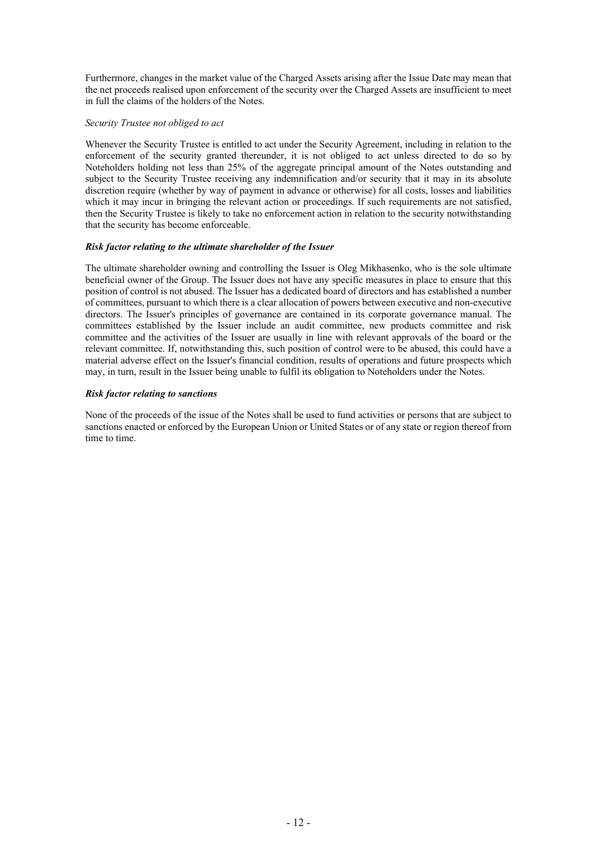Furthermore, changes in the market value of the Charged Assets arising after the Issue Date may mean that the net proceeds realised upon enforcement of the security over the Charged Assets are insufficient to meet in full the claims of the holders of the Notes.

#### *Security Trustee not obliged to act*

Whenever the Security Trustee is entitled to act under the Security Agreement, including in relation to the enforcement of the security granted thereunder, it is not obliged to act unless directed to do so by Noteholders holding not less than 25% of the aggregate principal amount of the Notes outstanding and subject to the Security Trustee receiving any indemnification and/or security that it may in its absolute discretion require (whether by way of payment in advance or otherwise) for all costs, losses and liabilities which it may incur in bringing the relevant action or proceedings. If such requirements are not satisfied, then the Security Trustee is likely to take no enforcement action in relation to the security notwithstanding that the security has become enforceable.

#### *Risk factor relating to the ultimate shareholder of the Issuer*

The ultimate shareholder owning and controlling the Issuer is Oleg Mikhasenko, who is the sole ultimate beneficial owner of the Group. The Issuer does not have any specific measures in place to ensure that this position of control is not abused. The Issuer has a dedicated board of directors and has established a number of committees, pursuant to which there is a clear allocation of powers between executive and non-executive directors. The Issuer's principles of governance are contained in its corporate governance manual. The committees established by the Issuer include an audit committee, new products committee and risk committee and the activities of the Issuer are usually in line with relevant approvals of the board or the relevant committee. If, notwithstanding this, such position of control were to be abused, this could have a material adverse effect on the Issuer's financial condition, results of operations and future prospects which may, in turn, result in the Issuer being unable to fulfil its obligation to Noteholders under the Notes.

#### *Risk factor relating to sanctions*

None of the proceeds of the issue of the Notes shall be used to fund activities or persons that are subject to sanctions enacted or enforced by the European Union or United States or of any state or region thereof from time to time.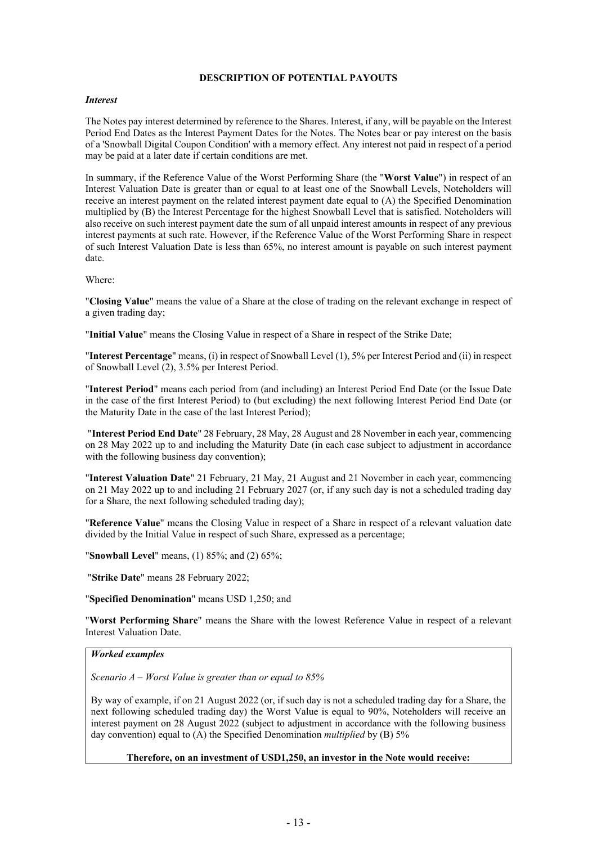#### <span id="page-15-0"></span>**DESCRIPTION OF POTENTIAL PAYOUTS**

#### *Interest*

The Notes pay interest determined by reference to the Shares. Interest, if any, will be payable on the Interest Period End Dates as the Interest Payment Dates for the Notes. The Notes bear or pay interest on the basis of a 'Snowball Digital Coupon Condition' with a memory effect. Any interest not paid in respect of a period may be paid at a later date if certain conditions are met.

In summary, if the Reference Value of the Worst Performing Share (the "**Worst Value**") in respect of an Interest Valuation Date is greater than or equal to at least one of the Snowball Levels, Noteholders will receive an interest payment on the related interest payment date equal to (A) the Specified Denomination multiplied by (B) the Interest Percentage for the highest Snowball Level that is satisfied. Noteholders will also receive on such interest payment date the sum of all unpaid interest amounts in respect of any previous interest payments at such rate. However, if the Reference Value of the Worst Performing Share in respect of such Interest Valuation Date is less than 65%, no interest amount is payable on such interest payment date.

Where:

"**Closing Value**" means the value of a Share at the close of trading on the relevant exchange in respect of a given trading day;

"**Initial Value**" means the Closing Value in respect of a Share in respect of the Strike Date;

"**Interest Percentage**" means, (i) in respect of Snowball Level (1), 5% per Interest Period and (ii) in respect of Snowball Level (2), 3.5% per Interest Period.

"**Interest Period**" means each period from (and including) an Interest Period End Date (or the Issue Date in the case of the first Interest Period) to (but excluding) the next following Interest Period End Date (or the Maturity Date in the case of the last Interest Period);

 "**Interest Period End Date**" 28 February, 28 May, 28 August and 28 November in each year, commencing on 28 May 2022 up to and including the Maturity Date (in each case subject to adjustment in accordance with the following business day convention);

"**Interest Valuation Date**" 21 February, 21 May, 21 August and 21 November in each year, commencing on 21 May 2022 up to and including 21 February 2027 (or, if any such day is not a scheduled trading day for a Share, the next following scheduled trading day);

"**Reference Value**" means the Closing Value in respect of a Share in respect of a relevant valuation date divided by the Initial Value in respect of such Share, expressed as a percentage;

"**Snowball Level**" means, (1) 85%; and (2) 65%;

"**Strike Date**" means 28 February 2022;

"**Specified Denomination**" means USD 1,250; and

"**Worst Performing Share**" means the Share with the lowest Reference Value in respect of a relevant Interest Valuation Date.

#### *Worked examples*

*Scenario A – Worst Value is greater than or equal to 85%*

By way of example, if on 21 August 2022 (or, if such day is not a scheduled trading day for a Share, the next following scheduled trading day) the Worst Value is equal to 90%, Noteholders will receive an interest payment on 28 August 2022 (subject to adjustment in accordance with the following business day convention) equal to (A) the Specified Denomination *multiplied* by (B) 5%

**Therefore, on an investment of USD1,250, an investor in the Note would receive:**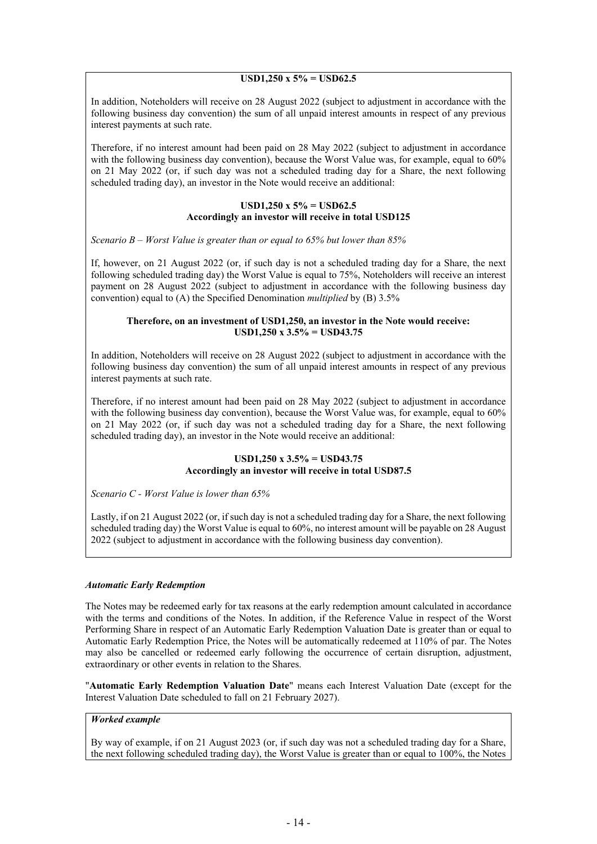#### **USD1,250 x 5% = USD62.5**

In addition, Noteholders will receive on 28 August 2022 (subject to adjustment in accordance with the following business day convention) the sum of all unpaid interest amounts in respect of any previous interest payments at such rate.

Therefore, if no interest amount had been paid on 28 May 2022 (subject to adjustment in accordance with the following business day convention), because the Worst Value was, for example, equal to 60% on 21 May 2022 (or, if such day was not a scheduled trading day for a Share, the next following scheduled trading day), an investor in the Note would receive an additional:

#### **USD1,250 x 5% = USD62.5 Accordingly an investor will receive in total USD125**

*Scenario B – Worst Value is greater than or equal to 65% but lower than 85%*

If, however, on 21 August 2022 (or, if such day is not a scheduled trading day for a Share, the next following scheduled trading day) the Worst Value is equal to 75%, Noteholders will receive an interest payment on 28 August 2022 (subject to adjustment in accordance with the following business day convention) equal to (A) the Specified Denomination *multiplied* by (B) 3.5%

#### **Therefore, on an investment of USD1,250, an investor in the Note would receive: USD1,250 x 3.5% = USD43.75**

In addition, Noteholders will receive on 28 August 2022 (subject to adjustment in accordance with the following business day convention) the sum of all unpaid interest amounts in respect of any previous interest payments at such rate.

Therefore, if no interest amount had been paid on 28 May 2022 (subject to adjustment in accordance with the following business day convention), because the Worst Value was, for example, equal to 60% on 21 May 2022 (or, if such day was not a scheduled trading day for a Share, the next following scheduled trading day), an investor in the Note would receive an additional:

#### **USD1,250 x 3.5% = USD43.75 Accordingly an investor will receive in total USD87.5**

*Scenario C - Worst Value is lower than 65%*

Lastly, if on 21 August 2022 (or, if such day is not a scheduled trading day for a Share, the next following scheduled trading day) the Worst Value is equal to 60%, no interest amount will be payable on 28 August 2022 (subject to adjustment in accordance with the following business day convention).

#### *Automatic Early Redemption*

The Notes may be redeemed early for tax reasons at the early redemption amount calculated in accordance with the terms and conditions of the Notes. In addition, if the Reference Value in respect of the Worst Performing Share in respect of an Automatic Early Redemption Valuation Date is greater than or equal to Automatic Early Redemption Price, the Notes will be automatically redeemed at 110% of par. The Notes may also be cancelled or redeemed early following the occurrence of certain disruption, adjustment, extraordinary or other events in relation to the Shares.

"**Automatic Early Redemption Valuation Date**" means each Interest Valuation Date (except for the Interest Valuation Date scheduled to fall on 21 February 2027).

## *Worked example*

By way of example, if on 21 August 2023 (or, if such day was not a scheduled trading day for a Share, the next following scheduled trading day), the Worst Value is greater than or equal to 100%, the Notes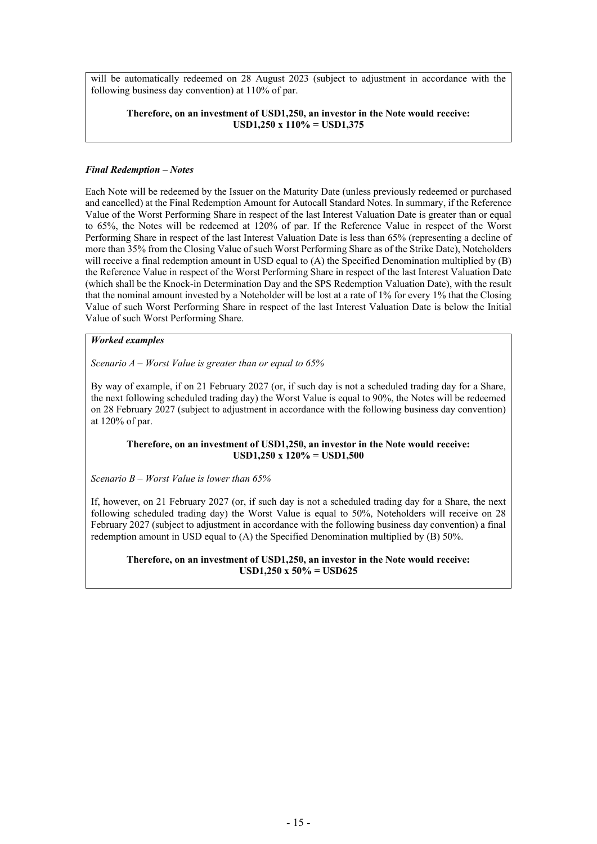will be automatically redeemed on 28 August 2023 (subject to adjustment in accordance with the following business day convention) at 110% of par.

#### **Therefore, on an investment of USD1,250, an investor in the Note would receive: USD1,250 x 110% = USD1,375**

#### *Final Redemption – Notes*

Each Note will be redeemed by the Issuer on the Maturity Date (unless previously redeemed or purchased and cancelled) at the Final Redemption Amount for Autocall Standard Notes. In summary, if the Reference Value of the Worst Performing Share in respect of the last Interest Valuation Date is greater than or equal to 65%, the Notes will be redeemed at 120% of par. If the Reference Value in respect of the Worst Performing Share in respect of the last Interest Valuation Date is less than 65% (representing a decline of more than 35% from the Closing Value of such Worst Performing Share as of the Strike Date), Noteholders will receive a final redemption amount in USD equal to (A) the Specified Denomination multiplied by (B) the Reference Value in respect of the Worst Performing Share in respect of the last Interest Valuation Date (which shall be the Knock-in Determination Day and the SPS Redemption Valuation Date), with the result that the nominal amount invested by a Noteholder will be lost at a rate of 1% for every 1% that the Closing Value of such Worst Performing Share in respect of the last Interest Valuation Date is below the Initial Value of such Worst Performing Share.

#### *Worked examples*

*Scenario A – Worst Value is greater than or equal to 65%*

By way of example, if on 21 February 2027 (or, if such day is not a scheduled trading day for a Share, the next following scheduled trading day) the Worst Value is equal to 90%, the Notes will be redeemed on 28 February 2027 (subject to adjustment in accordance with the following business day convention) at 120% of par.

#### **Therefore, on an investment of USD1,250, an investor in the Note would receive: USD1,250 x 120% = USD1,500**

*Scenario B – Worst Value is lower than 65%*

If, however, on 21 February 2027 (or, if such day is not a scheduled trading day for a Share, the next following scheduled trading day) the Worst Value is equal to 50%, Noteholders will receive on 28 February 2027 (subject to adjustment in accordance with the following business day convention) a final redemption amount in USD equal to (A) the Specified Denomination multiplied by (B) 50%.

**Therefore, on an investment of USD1,250, an investor in the Note would receive: USD1,250 x 50% = USD625**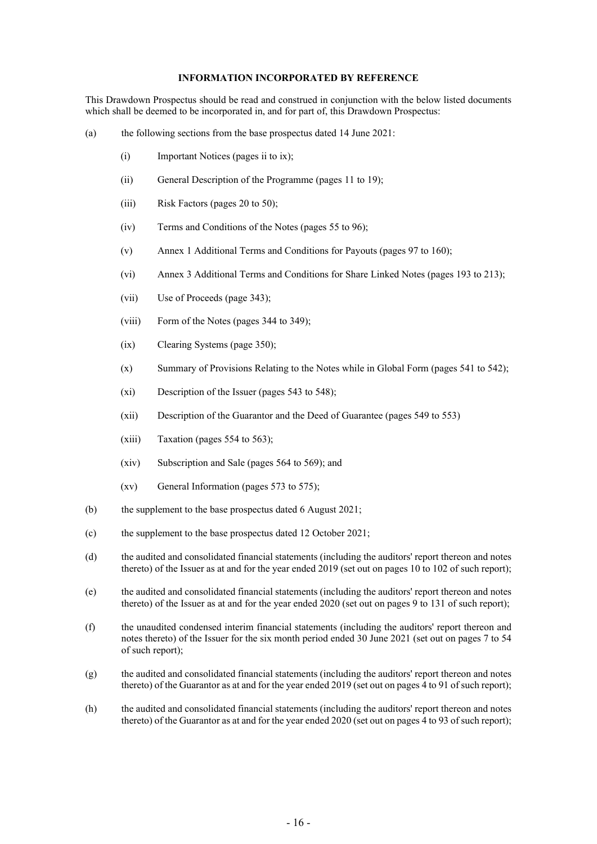#### <span id="page-18-0"></span>**INFORMATION INCORPORATED BY REFERENCE**

This Drawdown Prospectus should be read and construed in conjunction with the below listed documents which shall be deemed to be incorporated in, and for part of, this Drawdown Prospectus:

- (a) the following sections from the base prospectus dated 14 June 2021:
	- (i) Important Notices (pages ii to ix);
	- (ii) General Description of the Programme (pages 11 to 19);
	- (iii) Risk Factors (pages 20 to 50);
	- (iv) Terms and Conditions of the Notes (pages 55 to 96);
	- (v) Annex 1 Additional Terms and Conditions for Payouts (pages 97 to 160);
	- (vi) Annex 3 Additional Terms and Conditions for Share Linked Notes (pages 193 to 213);
	- (vii) Use of Proceeds (page 343);
	- (viii) Form of the Notes (pages 344 to 349);
	- (ix) Clearing Systems (page 350);
	- (x) Summary of Provisions Relating to the Notes while in Global Form (pages 541 to 542);
	- (xi) Description of the Issuer (pages 543 to 548);
	- (xii) Description of the Guarantor and the Deed of Guarantee (pages 549 to 553)
	- (xiii) Taxation (pages 554 to 563);
	- (xiv) Subscription and Sale (pages 564 to 569); and
	- (xv) General Information (pages 573 to 575);
- (b) the supplement to the base prospectus dated 6 August 2021;
- (c) the supplement to the base prospectus dated 12 October 2021;
- (d) the audited and consolidated financial statements (including the auditors' report thereon and notes thereto) of the Issuer as at and for the year ended 2019 (set out on pages 10 to 102 of such report);
- (e) the audited and consolidated financial statements (including the auditors' report thereon and notes thereto) of the Issuer as at and for the year ended 2020 (set out on pages 9 to 131 of such report);
- (f) the unaudited condensed interim financial statements (including the auditors' report thereon and notes thereto) of the Issuer for the six month period ended 30 June 2021 (set out on pages 7 to 54 of such report);
- (g) the audited and consolidated financial statements (including the auditors' report thereon and notes thereto) of the Guarantor as at and for the year ended 2019 (set out on pages 4 to 91 of such report);
- (h) the audited and consolidated financial statements (including the auditors' report thereon and notes thereto) of the Guarantor as at and for the year ended 2020 (set out on pages 4 to 93 of such report);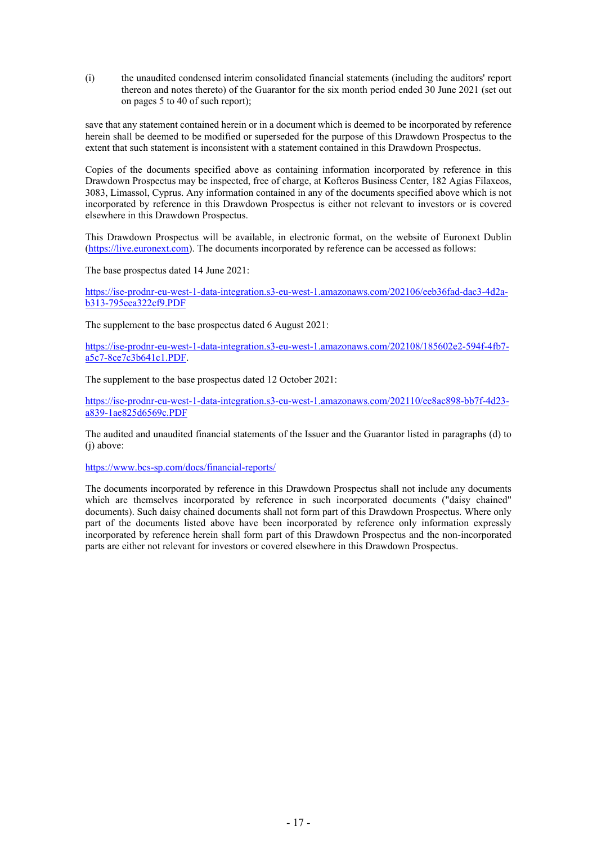(i) the unaudited condensed interim consolidated financial statements (including the auditors' report thereon and notes thereto) of the Guarantor for the six month period ended 30 June 2021 (set out on pages 5 to 40 of such report);

save that any statement contained herein or in a document which is deemed to be incorporated by reference herein shall be deemed to be modified or superseded for the purpose of this Drawdown Prospectus to the extent that such statement is inconsistent with a statement contained in this Drawdown Prospectus.

Copies of the documents specified above as containing information incorporated by reference in this Drawdown Prospectus may be inspected, free of charge, at Kofteros Business Center, 182 Agias Filaxeos, 3083, Limassol, Cyprus. Any information contained in any of the documents specified above which is not incorporated by reference in this Drawdown Prospectus is either not relevant to investors or is covered elsewhere in this Drawdown Prospectus.

This Drawdown Prospectus will be available, in electronic format, on the website of Euronext Dublin [\(https://live.euronext.com](https://live.euronext.com/)). The documents incorporated by reference can be accessed as follows:

The base prospectus dated 14 June 2021:

[https://ise-prodnr-eu-west-1-data-integration.s3-eu-west-1.amazonaws.com/202106/eeb36fad-dac3-4d2a](https://ise-prodnr-eu-west-1-data-integration.s3-eu-west-1.amazonaws.com/202106/eeb36fad-dac3-4d2a-b313-795eea322cf9.PDF)[b313-795eea322cf9.PDF](https://ise-prodnr-eu-west-1-data-integration.s3-eu-west-1.amazonaws.com/202106/eeb36fad-dac3-4d2a-b313-795eea322cf9.PDF)

The supplement to the base prospectus dated 6 August 2021:

[https://ise-prodnr-eu-west-1-data-integration.s3-eu-west-1.amazonaws.com/202108/185602e2-594f-4fb7](https://ise-prodnr-eu-west-1-data-integration.s3-eu-west-1.amazonaws.com/202108/185602e2-594f-4fb7-a5c7-8ce7c3b641c1.PDF) [a5c7-8ce7c3b641c1.PDF.](https://ise-prodnr-eu-west-1-data-integration.s3-eu-west-1.amazonaws.com/202108/185602e2-594f-4fb7-a5c7-8ce7c3b641c1.PDF)

The supplement to the base prospectus dated 12 October 2021:

[https://ise-prodnr-eu-west-1-data-integration.s3-eu-west-1.amazonaws.com/202110/ee8ac898-bb7f-4d23](https://ise-prodnr-eu-west-1-data-integration.s3-eu-west-1.amazonaws.com/202110/ee8ac898-bb7f-4d23-a839-1ae825d6569c.PDF) [a839-1ae825d6569c.PDF](https://ise-prodnr-eu-west-1-data-integration.s3-eu-west-1.amazonaws.com/202110/ee8ac898-bb7f-4d23-a839-1ae825d6569c.PDF)

The audited and unaudited financial statements of the Issuer and the Guarantor listed in paragraphs (d) to (i) above:

<https://www.bcs-sp.com/docs/financial-reports/>

The documents incorporated by reference in this Drawdown Prospectus shall not include any documents which are themselves incorporated by reference in such incorporated documents ("daisy chained" documents). Such daisy chained documents shall not form part of this Drawdown Prospectus. Where only part of the documents listed above have been incorporated by reference only information expressly incorporated by reference herein shall form part of this Drawdown Prospectus and the non-incorporated parts are either not relevant for investors or covered elsewhere in this Drawdown Prospectus.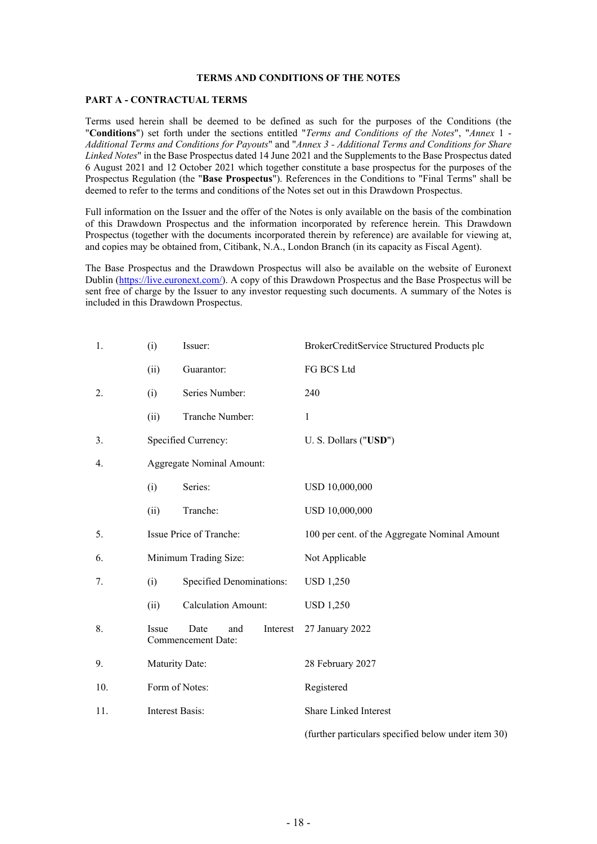#### <span id="page-20-0"></span>**TERMS AND CONDITIONS OF THE NOTES**

#### **PART A - CONTRACTUAL TERMS**

Terms used herein shall be deemed to be defined as such for the purposes of the Conditions (the "**Conditions**") set forth under the sections entitled "*Terms and Conditions of the Notes*", "*Annex* 1 - *Additional Terms and Conditions for Payouts*" and "*Annex 3 - Additional Terms and Conditions for Share Linked Notes*" in the Base Prospectus dated 14 June 2021 and the Supplements to the Base Prospectus dated 6 August 2021 and 12 October 2021 which together constitute a base prospectus for the purposes of the Prospectus Regulation (the "**Base Prospectus**"). References in the Conditions to "Final Terms" shall be deemed to refer to the terms and conditions of the Notes set out in this Drawdown Prospectus.

Full information on the Issuer and the offer of the Notes is only available on the basis of the combination of this Drawdown Prospectus and the information incorporated by reference herein. This Drawdown Prospectus (together with the documents incorporated therein by reference) are available for viewing at, and copies may be obtained from, Citibank, N.A., London Branch (in its capacity as Fiscal Agent).

The Base Prospectus and the Drawdown Prospectus will also be available on the website of Euronext Dublin ([https://live.euronext.com/\)](https://live.euronext.com/). A copy of this Drawdown Prospectus and the Base Prospectus will be sent free of charge by the Issuer to any investor requesting such documents. A summary of the Notes is included in this Drawdown Prospectus.

| 1.  | (i)             | Issuer:                                       | BrokerCreditService Structured Products plc         |
|-----|-----------------|-----------------------------------------------|-----------------------------------------------------|
|     | (ii)            | Guarantor:                                    | FG BCS Ltd                                          |
| 2.  | (i)             | Series Number:                                | 240                                                 |
|     | (ii)            | Tranche Number:                               | 1                                                   |
| 3.  |                 | Specified Currency:                           | U. S. Dollars ("USD")                               |
| 4.  |                 | <b>Aggregate Nominal Amount:</b>              |                                                     |
|     | (i)             | Series:                                       | USD 10,000,000                                      |
|     | (ii)            | Tranche:                                      | USD 10,000,000                                      |
| 5.  |                 | Issue Price of Tranche:                       | 100 per cent. of the Aggregate Nominal Amount       |
| 6.  |                 | Minimum Trading Size:                         | Not Applicable                                      |
| 7.  | (i)             | <b>Specified Denominations:</b>               | <b>USD 1,250</b>                                    |
|     | (ii)            | <b>Calculation Amount:</b>                    | <b>USD 1,250</b>                                    |
| 8.  | Issue           | Date<br>and<br>Interest<br>Commencement Date: | 27 January 2022                                     |
| 9.  | Maturity Date:  |                                               | 28 February 2027                                    |
| 10. |                 | Form of Notes:                                | Registered                                          |
| 11. | Interest Basis: |                                               | Share Linked Interest                               |
|     |                 |                                               | (further particulars specified below under item 30) |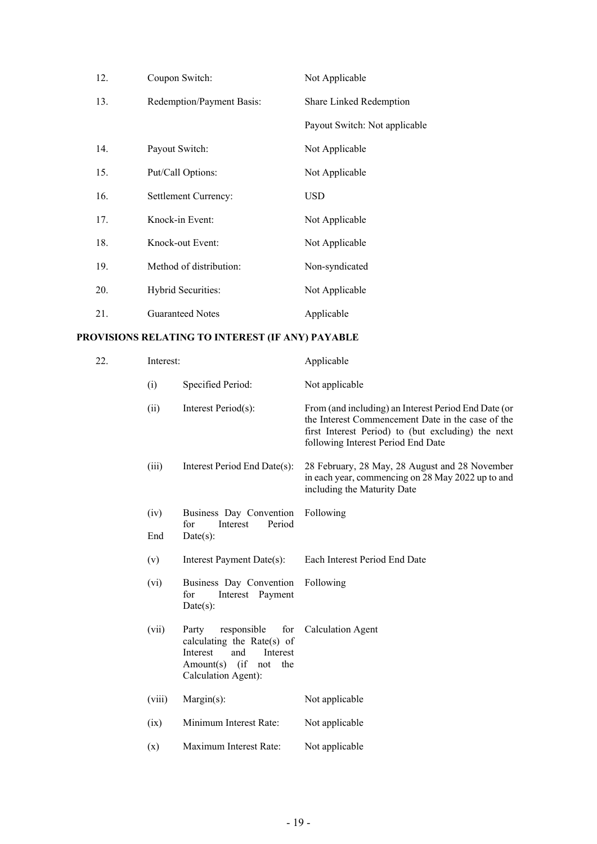| 12. | Coupon Switch:            | Not Applicable                |
|-----|---------------------------|-------------------------------|
| 13. | Redemption/Payment Basis: | Share Linked Redemption       |
|     |                           | Payout Switch: Not applicable |
| 14. | Payout Switch:            | Not Applicable                |
| 15. | Put/Call Options:         | Not Applicable                |
| 16. | Settlement Currency:      | <b>USD</b>                    |
| 17. | Knock-in Event:           | Not Applicable                |
| 18. | Knock-out Event:          | Not Applicable                |
| 19. | Method of distribution:   | Non-syndicated                |
| 20. | Hybrid Securities:        | Not Applicable                |
| 21. | <b>Guaranteed Notes</b>   | Applicable                    |

# **PROVISIONS RELATING TO INTEREST (IF ANY) PAYABLE**

| 22. | Interest: |                                                                                                                                                  | Applicable                                                                                                                                                                                            |
|-----|-----------|--------------------------------------------------------------------------------------------------------------------------------------------------|-------------------------------------------------------------------------------------------------------------------------------------------------------------------------------------------------------|
|     | (i)       | Specified Period:                                                                                                                                | Not applicable                                                                                                                                                                                        |
|     | (ii)      | Interest Period(s):                                                                                                                              | From (and including) an Interest Period End Date (or<br>the Interest Commencement Date in the case of the<br>first Interest Period) to (but excluding) the next<br>following Interest Period End Date |
|     | (iii)     | Interest Period End Date(s):                                                                                                                     | 28 February, 28 May, 28 August and 28 November<br>in each year, commencing on 28 May 2022 up to and<br>including the Maturity Date                                                                    |
|     | (iv)      | Business Day Convention<br>Period<br>Interest<br>for                                                                                             | Following                                                                                                                                                                                             |
|     | End       | Date(s):                                                                                                                                         |                                                                                                                                                                                                       |
|     | (v)       | Interest Payment Date(s):                                                                                                                        | Each Interest Period End Date                                                                                                                                                                         |
|     | (vi)      | Business Day Convention<br>Interest Payment<br>for<br>$Date(s)$ :                                                                                | Following                                                                                                                                                                                             |
|     | (vii)     | responsible<br>for<br>Party<br>calculating the Rate(s) of<br>Interest<br>Interest<br>and<br>$Amount(s)$ (if<br>the<br>not<br>Calculation Agent): | <b>Calculation Agent</b>                                                                                                                                                                              |
|     | (viii)    | $Margin(s)$ :                                                                                                                                    | Not applicable                                                                                                                                                                                        |
|     | (ix)      | Minimum Interest Rate:                                                                                                                           | Not applicable                                                                                                                                                                                        |
|     | (x)       | Maximum Interest Rate:                                                                                                                           | Not applicable                                                                                                                                                                                        |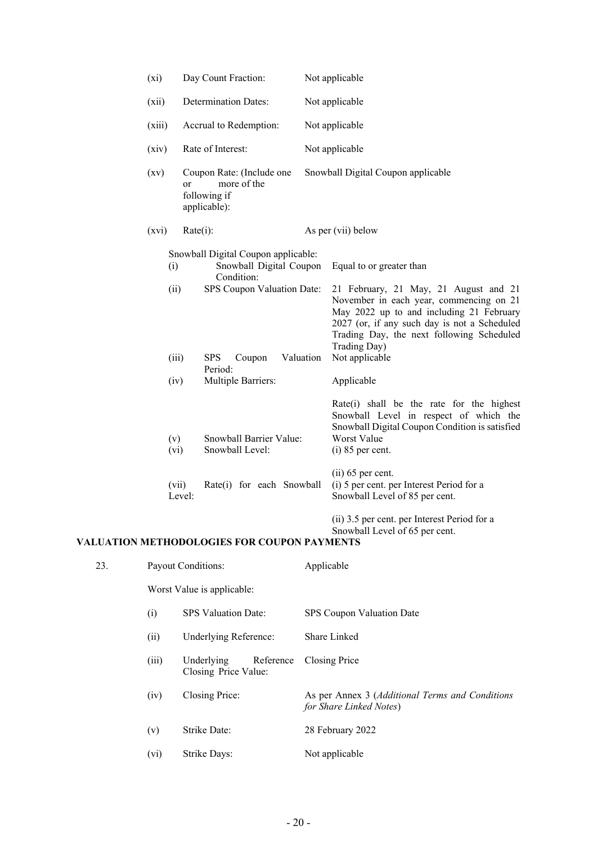| $(x_i)$ |                                | Day Count Fraction:                                                                                                                                                 | Not applicable |                                                                                                                                                                                                                                                                                                       |
|---------|--------------------------------|---------------------------------------------------------------------------------------------------------------------------------------------------------------------|----------------|-------------------------------------------------------------------------------------------------------------------------------------------------------------------------------------------------------------------------------------------------------------------------------------------------------|
| (xii)   |                                | <b>Determination Dates:</b>                                                                                                                                         |                | Not applicable                                                                                                                                                                                                                                                                                        |
| (xiii)  |                                | Accrual to Redemption:                                                                                                                                              |                | Not applicable                                                                                                                                                                                                                                                                                        |
| (xiv)   |                                | Rate of Interest:                                                                                                                                                   |                | Not applicable                                                                                                                                                                                                                                                                                        |
| (xv)    | or                             | Coupon Rate: (Include one<br>more of the<br>following if<br>applicable):                                                                                            |                | Snowball Digital Coupon applicable                                                                                                                                                                                                                                                                    |
| (xvi)   | $Rate(i)$ :                    |                                                                                                                                                                     |                | As per (vii) below                                                                                                                                                                                                                                                                                    |
|         | (i)<br>(ii)<br>(iii)<br>(iv)   | Snowball Digital Coupon applicable:<br>Snowball Digital Coupon<br>Condition:<br>SPS Coupon Valuation Date:<br><b>SPS</b><br>Coupon<br>Period:<br>Multiple Barriers: | Valuation      | Equal to or greater than<br>21 February, 21 May, 21 August and 21<br>November in each year, commencing on 21<br>May 2022 up to and including 21 February<br>2027 (or, if any such day is not a Scheduled<br>Trading Day, the next following Scheduled<br>Trading Day)<br>Not applicable<br>Applicable |
|         | (v)<br>(vi)<br>(vii)<br>Level: | Snowball Barrier Value:<br>Snowball Level:<br>Rate(i) for each Snowball                                                                                             |                | Rate(i) shall be the rate for the highest<br>Snowball Level in respect of which the<br>Snowball Digital Coupon Condition is satisfied<br>Worst Value<br>$(i)$ 85 per cent.<br>$(ii)$ 65 per cent.<br>(i) 5 per cent. per Interest Period for a<br>Snowball Level of 85 per cent.                      |
|         |                                |                                                                                                                                                                     |                | (ii) 3.5 per cent. per Interest Period for a<br>Snowball Level of 65 per cent.                                                                                                                                                                                                                        |

# **VALUATION METHODOLOGIES FOR COUPON PAYMENTS**

| 23. | <b>Payout Conditions:</b> |                                                 | Applicable                                                                 |  |
|-----|---------------------------|-------------------------------------------------|----------------------------------------------------------------------------|--|
|     |                           | Worst Value is applicable:                      |                                                                            |  |
|     | (i)                       | <b>SPS</b> Valuation Date:                      | SPS Coupon Valuation Date                                                  |  |
|     | (ii)                      | Underlying Reference:                           | Share Linked                                                               |  |
|     | (iii)                     | Underlying<br>Reference<br>Closing Price Value: | Closing Price                                                              |  |
|     | (iv)                      | Closing Price:                                  | As per Annex 3 (Additional Terms and Conditions<br>for Share Linked Notes) |  |
|     | (v)                       | Strike Date:                                    | 28 February 2022                                                           |  |
|     | (vi)                      | Strike Days:                                    | Not applicable                                                             |  |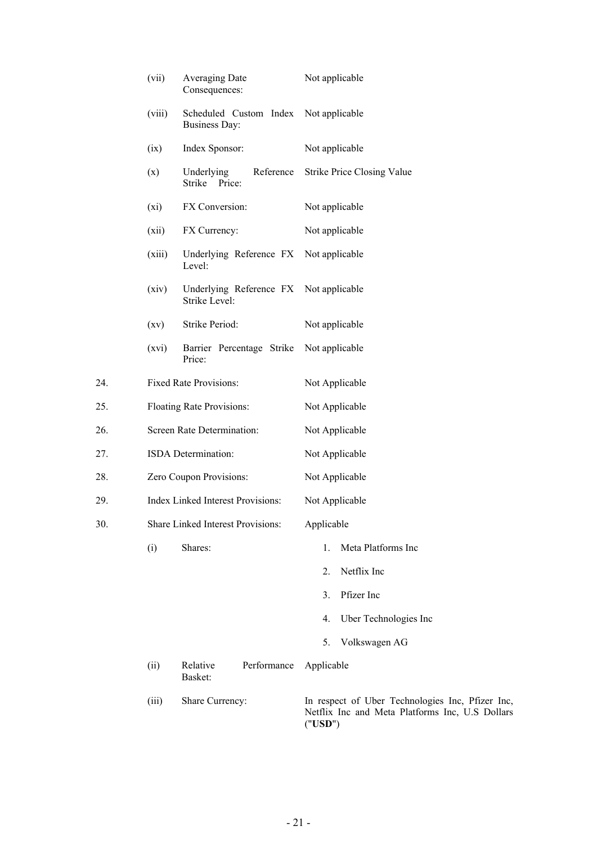|     | (vii)                      | Averaging Date<br>Consequences:                         | Not applicable                                                                                                 |  |  |
|-----|----------------------------|---------------------------------------------------------|----------------------------------------------------------------------------------------------------------------|--|--|
|     | (viii)                     | Scheduled Custom Index<br><b>Business Day:</b>          | Not applicable                                                                                                 |  |  |
|     | (ix)                       | Index Sponsor:                                          | Not applicable                                                                                                 |  |  |
|     | (x)                        | Reference<br>Underlying<br>Price:<br>Strike             | <b>Strike Price Closing Value</b>                                                                              |  |  |
|     | $(x_i)$                    | FX Conversion:                                          | Not applicable                                                                                                 |  |  |
|     | (xii)                      | FX Currency:                                            | Not applicable                                                                                                 |  |  |
|     | (xiii)                     | Underlying Reference FX Not applicable<br>Level:        |                                                                                                                |  |  |
|     | (xiv)                      | Underlying Reference FX Not applicable<br>Strike Level: |                                                                                                                |  |  |
|     | (xv)                       | Strike Period:                                          | Not applicable                                                                                                 |  |  |
|     | (xvi)                      | Barrier Percentage Strike<br>Price:                     | Not applicable                                                                                                 |  |  |
| 24. |                            | Fixed Rate Provisions:                                  | Not Applicable                                                                                                 |  |  |
| 25. | Floating Rate Provisions:  |                                                         | Not Applicable                                                                                                 |  |  |
| 26. | Screen Rate Determination: |                                                         | Not Applicable                                                                                                 |  |  |
| 27. | ISDA Determination:        |                                                         | Not Applicable                                                                                                 |  |  |
| 28. | Zero Coupon Provisions:    |                                                         | Not Applicable                                                                                                 |  |  |
| 29. |                            | Index Linked Interest Provisions:                       | Not Applicable                                                                                                 |  |  |
| 30. |                            | Share Linked Interest Provisions:                       | Applicable                                                                                                     |  |  |
|     | (i)                        | Shares:                                                 | Meta Platforms Inc<br>1.                                                                                       |  |  |
|     |                            |                                                         | Netflix Inc<br>2.                                                                                              |  |  |
|     |                            |                                                         | Pfizer Inc<br>3.                                                                                               |  |  |
|     |                            |                                                         | Uber Technologies Inc<br>4.                                                                                    |  |  |
|     |                            |                                                         | Volkswagen AG<br>5.                                                                                            |  |  |
|     | (ii)                       | Performance<br>Relative<br>Basket:                      | Applicable                                                                                                     |  |  |
|     | (iii)                      | Share Currency:                                         | In respect of Uber Technologies Inc, Pfizer Inc,<br>Netflix Inc and Meta Platforms Inc, U.S Dollars<br>("USD") |  |  |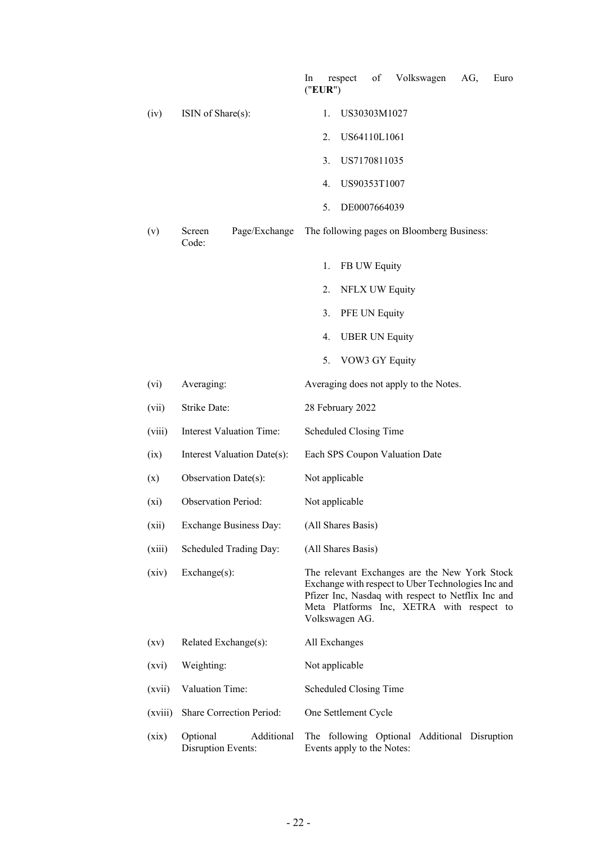|         |                                              | Volkswagen<br>respect<br>of<br>AG,<br>Euro<br>In<br>("EUR")                                                                                                                                                              |
|---------|----------------------------------------------|--------------------------------------------------------------------------------------------------------------------------------------------------------------------------------------------------------------------------|
| (iv)    | ISIN of Share(s):                            | US30303M1027<br>1.                                                                                                                                                                                                       |
|         |                                              | 2.<br>US64110L1061                                                                                                                                                                                                       |
|         |                                              | 3.<br>US7170811035                                                                                                                                                                                                       |
|         |                                              | 4.<br>US90353T1007                                                                                                                                                                                                       |
|         |                                              | 5.<br>DE0007664039                                                                                                                                                                                                       |
| (v)     | Page/Exchange<br>Screen<br>Code:             | The following pages on Bloomberg Business:                                                                                                                                                                               |
|         |                                              | FB UW Equity<br>1.                                                                                                                                                                                                       |
|         |                                              | NFLX UW Equity<br>2.                                                                                                                                                                                                     |
|         |                                              | PFE UN Equity<br>3.                                                                                                                                                                                                      |
|         |                                              | <b>UBER UN Equity</b><br>4.                                                                                                                                                                                              |
|         |                                              | VOW3 GY Equity<br>5.                                                                                                                                                                                                     |
| (vi)    | Averaging:                                   | Averaging does not apply to the Notes.                                                                                                                                                                                   |
| (vii)   | Strike Date:                                 | 28 February 2022                                                                                                                                                                                                         |
| (viii)  | <b>Interest Valuation Time:</b>              | Scheduled Closing Time                                                                                                                                                                                                   |
| (ix)    | Interest Valuation Date(s):                  | Each SPS Coupon Valuation Date                                                                                                                                                                                           |
| (x)     | Observation Date(s):                         | Not applicable                                                                                                                                                                                                           |
| $(x_i)$ | <b>Observation Period:</b>                   | Not applicable                                                                                                                                                                                                           |
| (xii)   | <b>Exchange Business Day:</b>                | (All Shares Basis)                                                                                                                                                                                                       |
| (xiii)  | Scheduled Trading Day:                       | (All Shares Basis)                                                                                                                                                                                                       |
| (xiv)   | Exchange(s):                                 | The relevant Exchanges are the New York Stock<br>Exchange with respect to Uber Technologies Inc and<br>Pfizer Inc, Nasdaq with respect to Netflix Inc and<br>Meta Platforms Inc, XETRA with respect to<br>Volkswagen AG. |
| (xv)    | Related Exchange(s):                         | All Exchanges                                                                                                                                                                                                            |
| (xvi)   | Weighting:                                   | Not applicable                                                                                                                                                                                                           |
| (xvii)  | Valuation Time:                              | Scheduled Closing Time                                                                                                                                                                                                   |
| (xviii) | Share Correction Period:                     | One Settlement Cycle                                                                                                                                                                                                     |
| (xix)   | Optional<br>Additional<br>Disruption Events: | The following Optional Additional Disruption<br>Events apply to the Notes:                                                                                                                                               |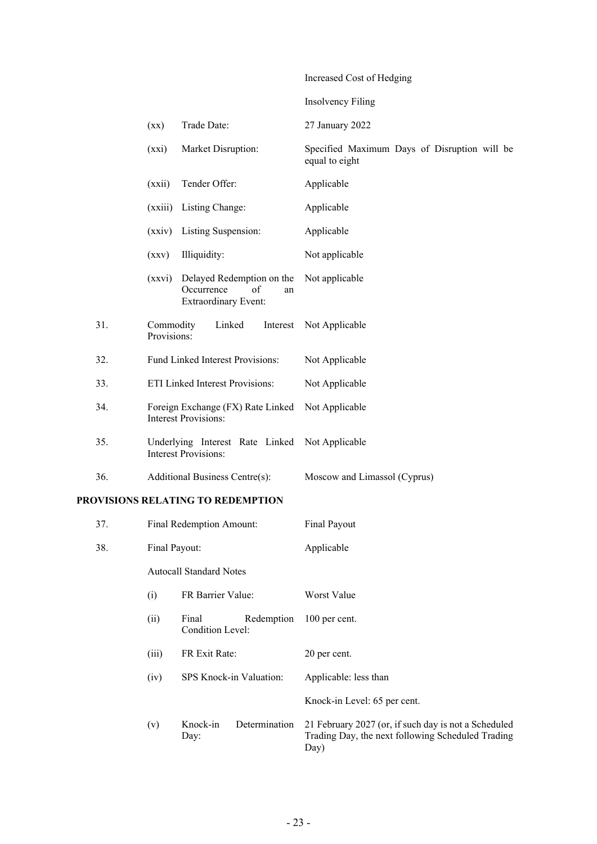# Increased Cost of Hedging

|     |                                                                  |                                                                                    | <b>Insolvency Filing</b>                                       |
|-----|------------------------------------------------------------------|------------------------------------------------------------------------------------|----------------------------------------------------------------|
|     | (xx)                                                             | Trade Date:                                                                        | 27 January 2022                                                |
|     | (xxi)                                                            | Market Disruption:                                                                 | Specified Maximum Days of Disruption will be<br>equal to eight |
|     | (xxii)                                                           | Tender Offer:                                                                      | Applicable                                                     |
|     | (xxiii)                                                          | Listing Change:                                                                    | Applicable                                                     |
|     | (xxiv)                                                           | Listing Suspension:                                                                | Applicable                                                     |
|     | (xxy)                                                            | Illiquidity:                                                                       | Not applicable                                                 |
|     | (xxvi)                                                           | Delayed Redemption on the<br>Occurrence<br>of<br>an<br><b>Extraordinary Event:</b> | Not applicable                                                 |
| 31. | Commodity<br>Provisions:                                         | Linked<br>Interest                                                                 | Not Applicable                                                 |
| 32. |                                                                  | Fund Linked Interest Provisions:                                                   | Not Applicable                                                 |
| 33. |                                                                  | ETI Linked Interest Provisions:                                                    | Not Applicable                                                 |
| 34. | Foreign Exchange (FX) Rate Linked<br><b>Interest Provisions:</b> |                                                                                    | Not Applicable                                                 |
| 35. |                                                                  | Underlying Interest Rate Linked Not Applicable<br><b>Interest Provisions:</b>      |                                                                |
| 36. |                                                                  | Additional Business Centre(s):                                                     | Moscow and Limassol (Cyprus)                                   |
|     |                                                                  |                                                                                    |                                                                |

# **PROVISIONS RELATING TO REDEMPTION**

| 37. | Final Redemption Amount:       |                           |               | Final Payout                                                                                                      |
|-----|--------------------------------|---------------------------|---------------|-------------------------------------------------------------------------------------------------------------------|
| 38. |                                | Final Payout:             |               | Applicable                                                                                                        |
|     | <b>Autocall Standard Notes</b> |                           |               |                                                                                                                   |
|     | (i)                            | FR Barrier Value:         |               | Worst Value                                                                                                       |
|     | (ii)                           | Final<br>Condition Level: | Redemption    | 100 per cent.                                                                                                     |
|     | (iii)                          | FR Exit Rate:             |               | 20 per cent.                                                                                                      |
|     | (iv)                           | SPS Knock-in Valuation:   |               | Applicable: less than                                                                                             |
|     |                                |                           |               | Knock-in Level: 65 per cent.                                                                                      |
|     | (v)                            | Knock-in<br>Day:          | Determination | 21 February 2027 (or, if such day is not a Scheduled<br>Trading Day, the next following Scheduled Trading<br>Day) |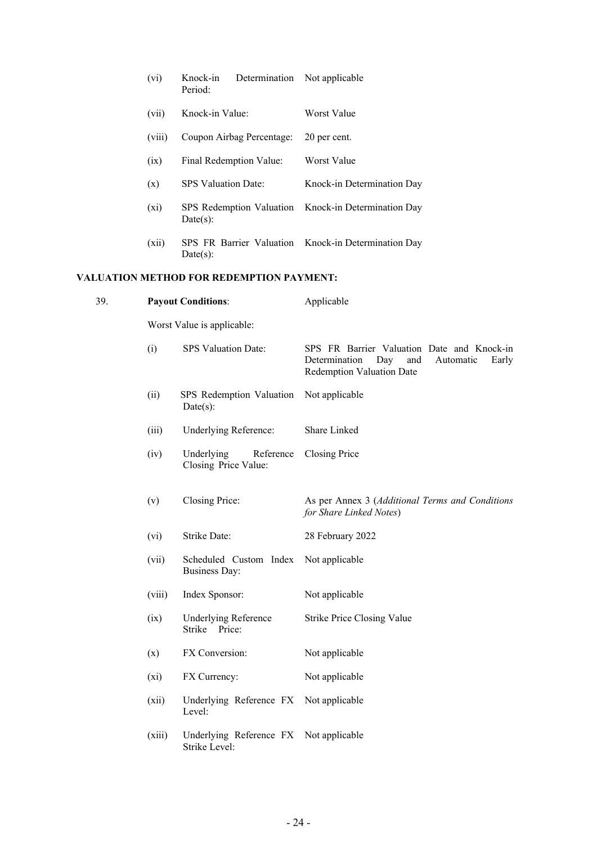|     | (vi)    | Determination Not applicable<br>Knock-in<br>Period:     |                                                                                                                                     |
|-----|---------|---------------------------------------------------------|-------------------------------------------------------------------------------------------------------------------------------------|
|     | (vii)   | Knock-in Value:                                         | Worst Value                                                                                                                         |
|     | (viii)  | Coupon Airbag Percentage:                               | 20 per cent.                                                                                                                        |
|     | (ix)    | Final Redemption Value:                                 | Worst Value                                                                                                                         |
|     | (x)     | SPS Valuation Date:                                     | Knock-in Determination Day                                                                                                          |
|     | $(x_i)$ | SPS Redemption Valuation<br>Date(s):                    | Knock-in Determination Day                                                                                                          |
|     | (xii)   | SPS FR Barrier Valuation<br>Date(s):                    | Knock-in Determination Day                                                                                                          |
|     |         | <b>VALUATION METHOD FOR REDEMPTION PAYMENT:</b>         |                                                                                                                                     |
| 39. |         | <b>Payout Conditions:</b>                               | Applicable                                                                                                                          |
|     |         | Worst Value is applicable:                              |                                                                                                                                     |
|     | (i)     | SPS Valuation Date:                                     | SPS FR Barrier Valuation Date and Knock-in<br>Determination<br>Day<br>Automatic<br>and<br>Early<br><b>Redemption Valuation Date</b> |
|     | (ii)    | SPS Redemption Valuation<br>Date(s):                    | Not applicable                                                                                                                      |
|     | (iii)   | Underlying Reference:                                   | Share Linked                                                                                                                        |
|     | (iv)    | Underlying<br>Reference<br>Closing Price Value:         | Closing Price                                                                                                                       |
|     | (v)     | Closing Price:                                          | As per Annex 3 (Additional Terms and Conditions<br>for Share Linked Notes)                                                          |
|     | (vi)    | Strike Date:                                            | 28 February 2022                                                                                                                    |
|     | (vii)   | Scheduled Custom Index<br><b>Business Day:</b>          | Not applicable                                                                                                                      |
|     | (viii)  | Index Sponsor:                                          | Not applicable                                                                                                                      |
|     | (ix)    | <b>Underlying Reference</b><br>Strike Price:            | <b>Strike Price Closing Value</b>                                                                                                   |
|     | (x)     | FX Conversion:                                          | Not applicable                                                                                                                      |
|     | $(x_i)$ | FX Currency:                                            | Not applicable                                                                                                                      |
|     | (xii)   | Underlying Reference FX Not applicable<br>Level:        |                                                                                                                                     |
|     | (xiii)  | Underlying Reference FX Not applicable<br>Strike Level: |                                                                                                                                     |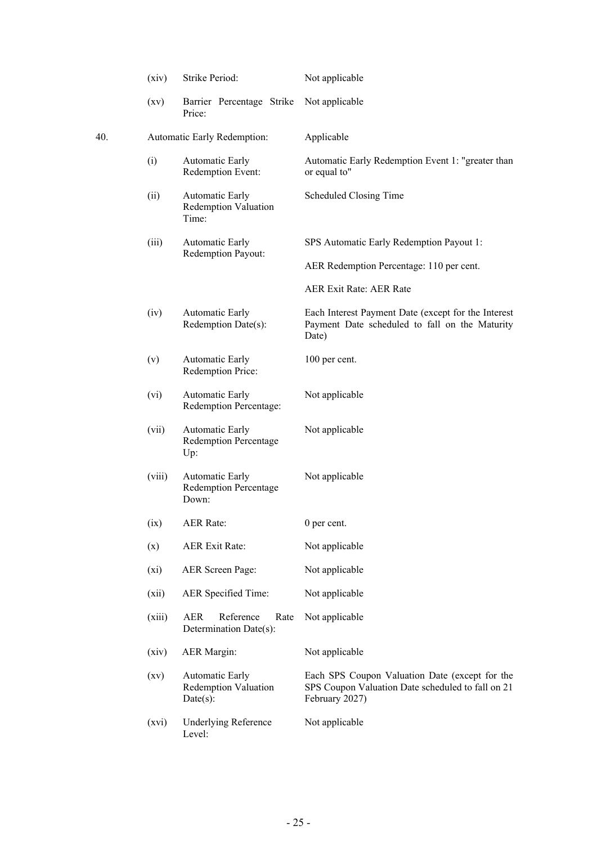|     | (xiv)   | Strike Period:                                                 | Not applicable                                                                                                        |
|-----|---------|----------------------------------------------------------------|-----------------------------------------------------------------------------------------------------------------------|
|     | (xv)    | Barrier Percentage Strike<br>Price:                            | Not applicable                                                                                                        |
| 40. |         | Automatic Early Redemption:                                    | Applicable                                                                                                            |
|     | (i)     | Automatic Early<br>Redemption Event:                           | Automatic Early Redemption Event 1: "greater than<br>or equal to"                                                     |
|     | (ii)    | <b>Automatic Early</b><br><b>Redemption Valuation</b><br>Time: | Scheduled Closing Time                                                                                                |
|     | (iii)   | Automatic Early                                                | SPS Automatic Early Redemption Payout 1:                                                                              |
|     |         | Redemption Payout:                                             | AER Redemption Percentage: 110 per cent.                                                                              |
|     |         |                                                                | <b>AER Exit Rate: AER Rate</b>                                                                                        |
|     | (iv)    | <b>Automatic Early</b><br>Redemption Date(s):                  | Each Interest Payment Date (except for the Interest<br>Payment Date scheduled to fall on the Maturity<br>Date)        |
|     | (v)     | Automatic Early<br>Redemption Price:                           | 100 per cent.                                                                                                         |
|     | (vi)    | <b>Automatic Early</b><br>Redemption Percentage:               | Not applicable                                                                                                        |
|     | (vii)   | Automatic Early<br><b>Redemption Percentage</b><br>Up:         | Not applicable                                                                                                        |
|     | (viii)  | Automatic Early<br><b>Redemption Percentage</b><br>Down:       | Not applicable                                                                                                        |
|     | (ix)    | <b>AER Rate:</b>                                               | 0 per cent.                                                                                                           |
|     | (x)     | <b>AER Exit Rate:</b>                                          | Not applicable                                                                                                        |
|     | $(x_i)$ | <b>AER Screen Page:</b>                                        | Not applicable                                                                                                        |
|     | (xii)   | AER Specified Time:                                            | Not applicable                                                                                                        |
|     | (xiii)  | Reference<br>AER<br>Rate<br>Determination Date(s):             | Not applicable                                                                                                        |
|     | (xiv)   | <b>AER</b> Margin:                                             | Not applicable                                                                                                        |
|     | (xv)    | Automatic Early<br><b>Redemption Valuation</b><br>Date(s):     | Each SPS Coupon Valuation Date (except for the<br>SPS Coupon Valuation Date scheduled to fall on 21<br>February 2027) |
|     | (xvi)   | <b>Underlying Reference</b><br>Level:                          | Not applicable                                                                                                        |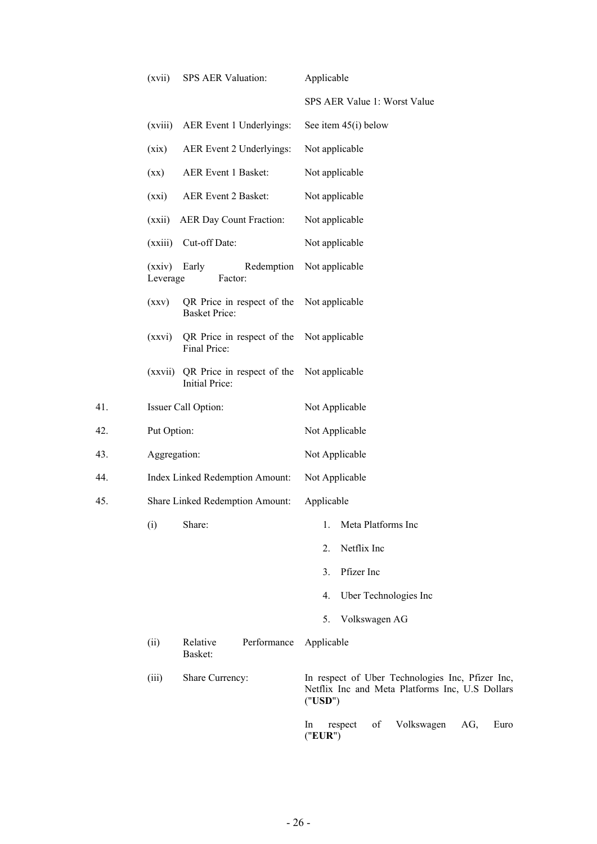|     | (xvii)                          | SPS AER Valuation:                                  | Applicable                                                                                                     |  |
|-----|---------------------------------|-----------------------------------------------------|----------------------------------------------------------------------------------------------------------------|--|
|     |                                 |                                                     | SPS AER Value 1: Worst Value                                                                                   |  |
|     | (xviii)                         | AER Event 1 Underlyings:                            | See item $45(i)$ below                                                                                         |  |
|     | (xix)                           | AER Event 2 Underlyings:                            | Not applicable                                                                                                 |  |
|     | $(\mathbf{X}\mathbf{X})$        | AER Event 1 Basket:                                 | Not applicable                                                                                                 |  |
|     | (xxi)                           | AER Event 2 Basket:                                 | Not applicable                                                                                                 |  |
|     | (xxii)                          | AER Day Count Fraction:                             | Not applicable                                                                                                 |  |
|     | (xxiii)                         | Cut-off Date:                                       | Not applicable                                                                                                 |  |
|     | (xxiv) Early<br>Leverage        | Redemption<br>Factor:                               | Not applicable                                                                                                 |  |
|     | (xxy)                           | QR Price in respect of the<br><b>Basket Price:</b>  | Not applicable                                                                                                 |  |
|     | (xxvi)                          | QR Price in respect of the<br>Final Price:          | Not applicable                                                                                                 |  |
|     | (xxvii)                         | QR Price in respect of the<br><b>Initial Price:</b> | Not applicable                                                                                                 |  |
| 41. |                                 | Issuer Call Option:                                 | Not Applicable                                                                                                 |  |
| 42. | Put Option:                     |                                                     | Not Applicable                                                                                                 |  |
| 43. | Aggregation:                    |                                                     | Not Applicable                                                                                                 |  |
| 44. | Index Linked Redemption Amount: |                                                     | Not Applicable                                                                                                 |  |
| 45. |                                 | Share Linked Redemption Amount:                     | Applicable                                                                                                     |  |
|     | (i)                             | Share:                                              | Meta Platforms Inc<br>1.                                                                                       |  |
|     |                                 |                                                     | Netflix Inc<br>2.                                                                                              |  |
|     |                                 |                                                     | Pfizer Inc<br>3.                                                                                               |  |
|     |                                 |                                                     | Uber Technologies Inc<br>4.                                                                                    |  |
|     |                                 |                                                     | Volkswagen AG<br>5.                                                                                            |  |
|     | (ii)                            | Performance<br>Relative<br>Basket:                  | Applicable                                                                                                     |  |
|     | (iii)                           | Share Currency:                                     | In respect of Uber Technologies Inc, Pfizer Inc,<br>Netflix Inc and Meta Platforms Inc, U.S Dollars<br>("USD") |  |
|     |                                 |                                                     | Volkswagen<br>respect<br>of<br>AG,<br>Euro<br>In<br>("EUR")                                                    |  |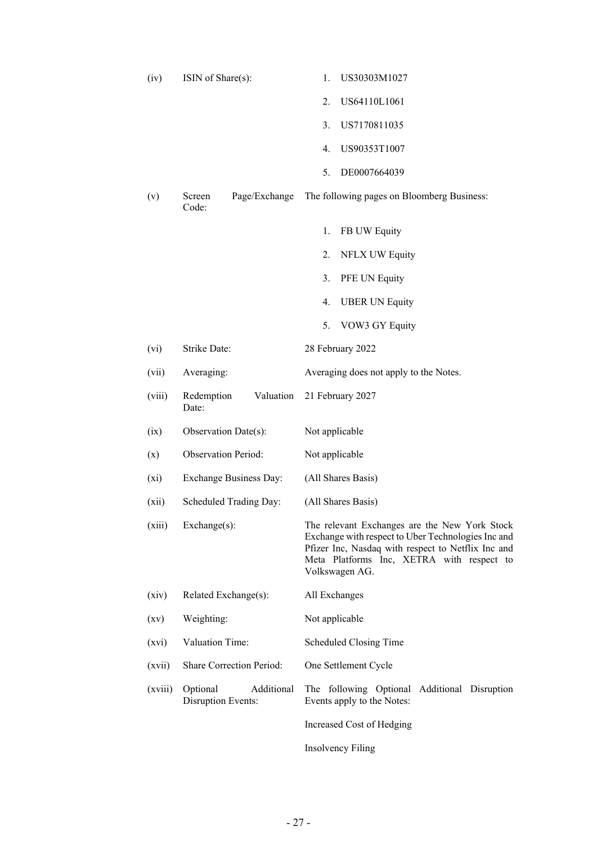| (iv)    | ISIN of Share(s):                            | US30303M1027<br>1.                                                                                                                                                                                                       |
|---------|----------------------------------------------|--------------------------------------------------------------------------------------------------------------------------------------------------------------------------------------------------------------------------|
|         |                                              | US64110L1061<br>2.                                                                                                                                                                                                       |
|         |                                              | US7170811035<br>3.                                                                                                                                                                                                       |
|         |                                              | US90353T1007<br>4.                                                                                                                                                                                                       |
|         |                                              | DE0007664039<br>5.                                                                                                                                                                                                       |
| (v)     | Page/Exchange<br>Screen<br>Code:             | The following pages on Bloomberg Business:                                                                                                                                                                               |
|         |                                              | 1.<br>FB UW Equity                                                                                                                                                                                                       |
|         |                                              | 2.<br>NFLX UW Equity                                                                                                                                                                                                     |
|         |                                              | PFE UN Equity<br>3.                                                                                                                                                                                                      |
|         |                                              | 4.<br><b>UBER UN Equity</b>                                                                                                                                                                                              |
|         |                                              | VOW3 GY Equity<br>5.                                                                                                                                                                                                     |
| (vi)    | Strike Date:                                 | 28 February 2022                                                                                                                                                                                                         |
| (vii)   | Averaging:                                   | Averaging does not apply to the Notes.                                                                                                                                                                                   |
| (viii)  | Valuation<br>Redemption<br>Date:             | 21 February 2027                                                                                                                                                                                                         |
| (ix)    | Observation Date(s):                         | Not applicable                                                                                                                                                                                                           |
| (x)     | <b>Observation Period:</b>                   | Not applicable                                                                                                                                                                                                           |
| $(x_i)$ | <b>Exchange Business Day:</b>                | (All Shares Basis)                                                                                                                                                                                                       |
| (xii)   | Scheduled Trading Day:                       | (All Shares Basis)                                                                                                                                                                                                       |
| (xiii)  | Exchange(s):                                 | The relevant Exchanges are the New York Stock<br>Exchange with respect to Uber Technologies Inc and<br>Pfizer Inc, Nasdaq with respect to Netflix Inc and<br>Meta Platforms Inc, XETRA with respect to<br>Volkswagen AG. |
| (xiv)   | Related Exchange(s):                         | All Exchanges                                                                                                                                                                                                            |
| (xv)    | Weighting:                                   | Not applicable                                                                                                                                                                                                           |
| (xvi)   | Valuation Time:                              | Scheduled Closing Time                                                                                                                                                                                                   |
| (xvii)  | <b>Share Correction Period:</b>              | One Settlement Cycle                                                                                                                                                                                                     |
| (xviii) | Additional<br>Optional<br>Disruption Events: | The following Optional Additional Disruption<br>Events apply to the Notes:                                                                                                                                               |
|         |                                              | Increased Cost of Hedging                                                                                                                                                                                                |
|         |                                              | Insolvency Filing                                                                                                                                                                                                        |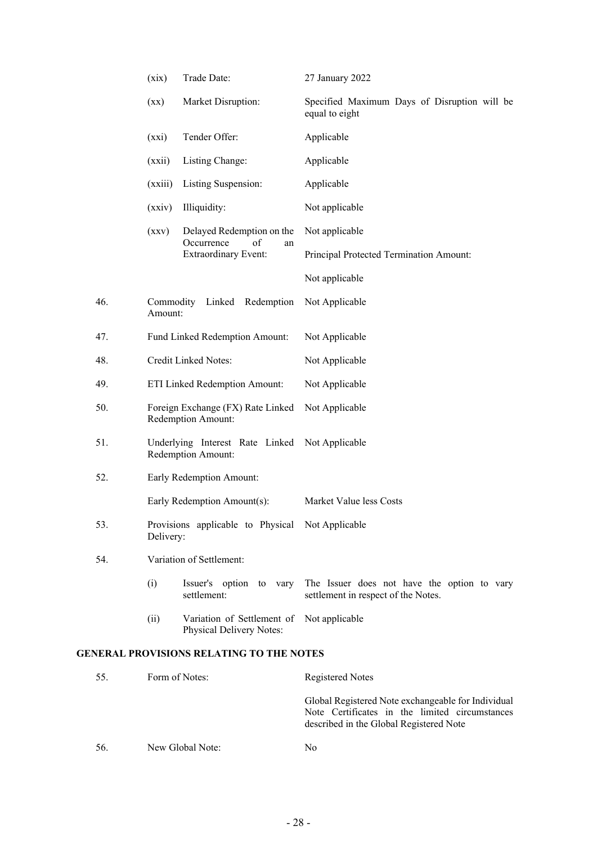|     | (xix)                | Trade Date:                                                                 | 27 January 2022                                                                    |
|-----|----------------------|-----------------------------------------------------------------------------|------------------------------------------------------------------------------------|
|     | (xx)                 | Market Disruption:                                                          | Specified Maximum Days of Disruption will be<br>equal to eight                     |
|     | (xxi)                | Tender Offer:                                                               | Applicable                                                                         |
|     | (xxii)               | Listing Change:                                                             | Applicable                                                                         |
|     | (xxiii)              | Listing Suspension:                                                         | Applicable                                                                         |
|     | (xxiv)               | Illiquidity:                                                                | Not applicable                                                                     |
|     | (xxy)                | Delayed Redemption on the<br>Occurrence<br>of<br>an                         | Not applicable                                                                     |
|     |                      | <b>Extraordinary Event:</b>                                                 | Principal Protected Termination Amount:                                            |
|     |                      |                                                                             | Not applicable                                                                     |
| 46. | Commodity<br>Amount: | Linked Redemption                                                           | Not Applicable                                                                     |
| 47. |                      | Fund Linked Redemption Amount:                                              | Not Applicable                                                                     |
| 48. |                      | <b>Credit Linked Notes:</b>                                                 | Not Applicable                                                                     |
| 49. |                      | ETI Linked Redemption Amount:                                               | Not Applicable                                                                     |
| 50. |                      | Foreign Exchange (FX) Rate Linked<br>Redemption Amount:                     | Not Applicable                                                                     |
| 51. |                      | Underlying Interest Rate Linked Not Applicable<br><b>Redemption Amount:</b> |                                                                                    |
| 52. |                      | Early Redemption Amount:                                                    |                                                                                    |
|     |                      | Early Redemption Amount(s):                                                 | Market Value less Costs                                                            |
| 53. | Delivery:            | Provisions applicable to Physical Not Applicable                            |                                                                                    |
| 54. |                      | Variation of Settlement:                                                    |                                                                                    |
|     | (i)                  | Issuer's option to vary<br>settlement:                                      | The Issuer does not have the option to vary<br>settlement in respect of the Notes. |
|     | (ii)                 | Variation of Settlement of Not applicable<br>Physical Delivery Notes:       |                                                                                    |
|     |                      | <b>GENERAL PROVISIONS RELATING TO THE NOTES</b>                             |                                                                                    |

| 55. | Form of Notes:   | <b>Registered Notes</b>                                                                                                                         |
|-----|------------------|-------------------------------------------------------------------------------------------------------------------------------------------------|
|     |                  | Global Registered Note exchangeable for Individual<br>Note Certificates in the limited circumstances<br>described in the Global Registered Note |
| 56. | New Global Note: | Nο                                                                                                                                              |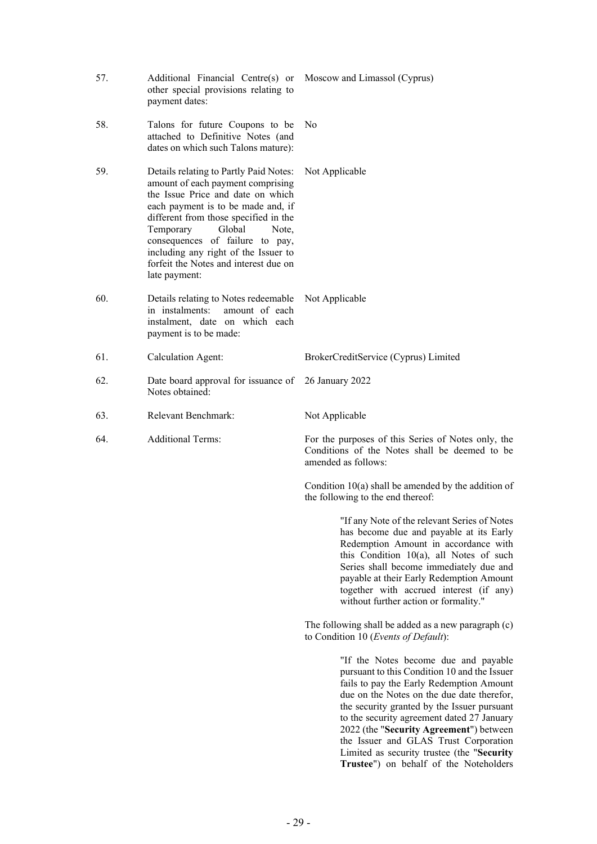| 57. | Additional Financial Centre(s) or<br>other special provisions relating to<br>payment dates:                                                                                                                                                                                                                                                                          | Moscow and Limassol (Cyprus)                                                                                                                                                                                                                                                                                                                                                                                                                            |
|-----|----------------------------------------------------------------------------------------------------------------------------------------------------------------------------------------------------------------------------------------------------------------------------------------------------------------------------------------------------------------------|---------------------------------------------------------------------------------------------------------------------------------------------------------------------------------------------------------------------------------------------------------------------------------------------------------------------------------------------------------------------------------------------------------------------------------------------------------|
| 58. | Talons for future Coupons to be<br>attached to Definitive Notes (and<br>dates on which such Talons mature):                                                                                                                                                                                                                                                          | No.                                                                                                                                                                                                                                                                                                                                                                                                                                                     |
| 59. | Details relating to Partly Paid Notes:<br>amount of each payment comprising<br>the Issue Price and date on which<br>each payment is to be made and, if<br>different from those specified in the<br>Temporary<br>Global<br>Note,<br>consequences of failure to pay,<br>including any right of the Issuer to<br>forfeit the Notes and interest due on<br>late payment: | Not Applicable                                                                                                                                                                                                                                                                                                                                                                                                                                          |
| 60. | Details relating to Notes redeemable<br>amount of each<br>in instalments:<br>instalment, date on which each<br>payment is to be made:                                                                                                                                                                                                                                | Not Applicable                                                                                                                                                                                                                                                                                                                                                                                                                                          |
| 61. | Calculation Agent:                                                                                                                                                                                                                                                                                                                                                   | BrokerCreditService (Cyprus) Limited                                                                                                                                                                                                                                                                                                                                                                                                                    |
| 62. | Date board approval for issuance of 26 January 2022<br>Notes obtained:                                                                                                                                                                                                                                                                                               |                                                                                                                                                                                                                                                                                                                                                                                                                                                         |
| 63. | Relevant Benchmark:                                                                                                                                                                                                                                                                                                                                                  | Not Applicable                                                                                                                                                                                                                                                                                                                                                                                                                                          |
| 64. | <b>Additional Terms:</b>                                                                                                                                                                                                                                                                                                                                             | For the purposes of this Series of Notes only, the<br>Conditions of the Notes shall be deemed to be<br>amended as follows:                                                                                                                                                                                                                                                                                                                              |
|     |                                                                                                                                                                                                                                                                                                                                                                      | Condition $10(a)$ shall be amended by the addition of<br>the following to the end thereof:                                                                                                                                                                                                                                                                                                                                                              |
|     |                                                                                                                                                                                                                                                                                                                                                                      | "If any Note of the relevant Series of Notes<br>has become due and payable at its Early<br>Redemption Amount in accordance with<br>this Condition $10(a)$ , all Notes of such<br>Series shall become immediately due and<br>payable at their Early Redemption Amount<br>together with accrued interest (if any)<br>without further action or formality."                                                                                                |
|     |                                                                                                                                                                                                                                                                                                                                                                      | The following shall be added as a new paragraph (c)<br>to Condition 10 (Events of Default):                                                                                                                                                                                                                                                                                                                                                             |
|     |                                                                                                                                                                                                                                                                                                                                                                      | "If the Notes become due and payable<br>pursuant to this Condition 10 and the Issuer<br>fails to pay the Early Redemption Amount<br>due on the Notes on the due date therefor,<br>the security granted by the Issuer pursuant<br>to the security agreement dated 27 January<br>2022 (the "Security Agreement") between<br>the Issuer and GLAS Trust Corporation<br>Limited as security trustee (the "Security<br>Trustee") on behalf of the Noteholders |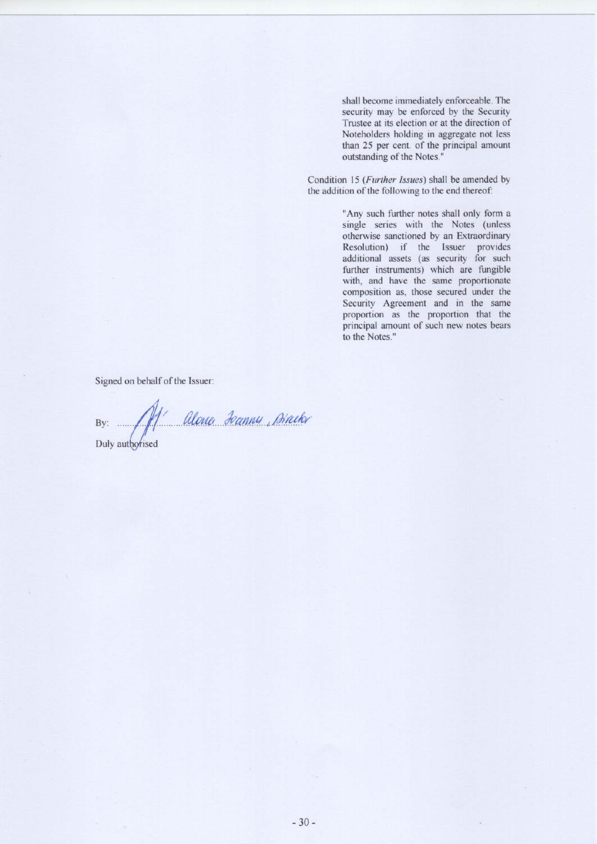shall become immediately enforceable. The security may be enforced by the Security Trustee at its election or at the direction of Noteholders holding in aggregate not less than 25 per cent. of the principal amount outstanding of the Notes."

Condition 15 (Further Issues) shall be amended by the addition of the following to the end thereof:

> "Any such further notes shall only form a single series with the Notes (unless otherwise sanctioned by an Extraordinary Resolution) if the Issuer provides additional assets (as security for such further instruments) which are fungible with, and have the same proportionate composition as, those secured under the Security Agreement and in the same proportion as the proportion that the principal amount of such new notes bears to the Notes."

Signed on behalf of the Issuer:

By: Alone Jeanny, Breek

Duly authorised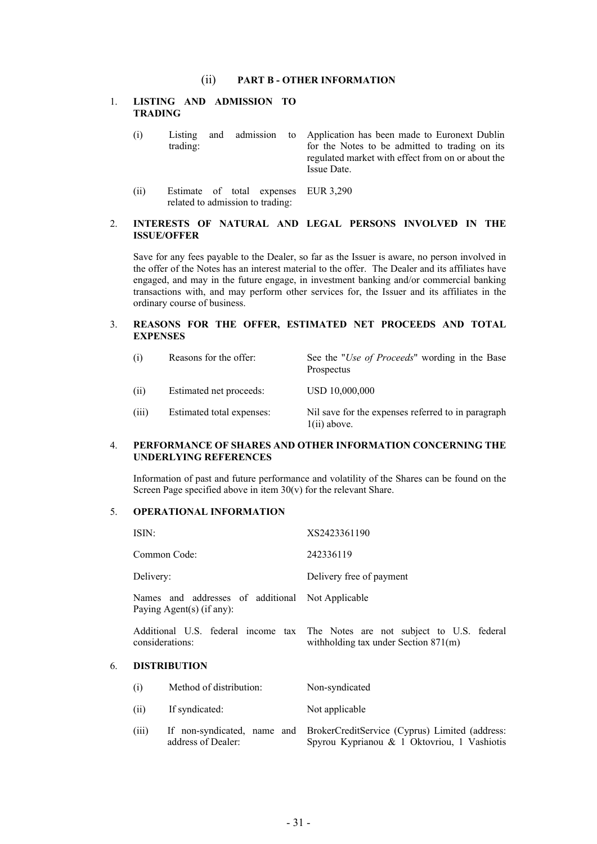#### (ii) **PART B - OTHER INFORMATION**

#### 1. **LISTING AND ADMISSION TO TRADING**

- (i) Listing and admission to trading: Application has been made to Euronext Dublin for the Notes to be admitted to trading on its regulated market with effect from on or about the Issue Date.
- (ii) Estimate of total expenses EUR 3,290 related to admission to trading:

#### 2. **INTERESTS OF NATURAL AND LEGAL PERSONS INVOLVED IN THE ISSUE/OFFER**

Save for any fees payable to the Dealer, so far as the Issuer is aware, no person involved in the offer of the Notes has an interest material to the offer. The Dealer and its affiliates have engaged, and may in the future engage, in investment banking and/or commercial banking transactions with, and may perform other services for, the Issuer and its affiliates in the ordinary course of business.

#### 3. **REASONS FOR THE OFFER, ESTIMATED NET PROCEEDS AND TOTAL EXPENSES**

| (i)   | Reasons for the offer:    | See the " <i>Use of Proceeds</i> " wording in the Base<br>Prospectus |
|-------|---------------------------|----------------------------------------------------------------------|
| (ii)  | Estimated net proceeds:   | USD 10,000,000                                                       |
| (iii) | Estimated total expenses: | Nil save for the expenses referred to in paragraph<br>$1(ii)$ above. |

#### 4. **PERFORMANCE OF SHARES AND OTHER INFORMATION CONCERNING THE UNDERLYING REFERENCES**

Information of past and future performance and volatility of the Shares can be found on the Screen Page specified above in item  $30(v)$  for the relevant Share.

#### 5. **OPERATIONAL INFORMATION**

|    | ISIN:                                                                            |                                                   | XS2423361190                                                                                                            |
|----|----------------------------------------------------------------------------------|---------------------------------------------------|-------------------------------------------------------------------------------------------------------------------------|
|    |                                                                                  | Common Code:                                      | 242336119                                                                                                               |
|    | Delivery:                                                                        |                                                   | Delivery free of payment                                                                                                |
|    | Names and addresses of additional Not Applicable<br>Paying Agent $(s)$ (if any): |                                                   |                                                                                                                         |
|    |                                                                                  | considerations:                                   | Additional U.S. federal income tax The Notes are not subject to U.S. federal<br>with holding tax under Section $871(m)$ |
| 6. |                                                                                  | <b>DISTRIBUTION</b>                               |                                                                                                                         |
|    | (i)                                                                              | Method of distribution:                           | Non-syndicated                                                                                                          |
|    | (ii)                                                                             | If syndicated:                                    | Not applicable                                                                                                          |
|    | (iii)                                                                            | If non-syndicated, name and<br>address of Dealer: | BrokerCreditService (Cyprus) Limited (address:<br>Spyrou Kyprianou & 1 Oktovriou, 1 Vashiotis                           |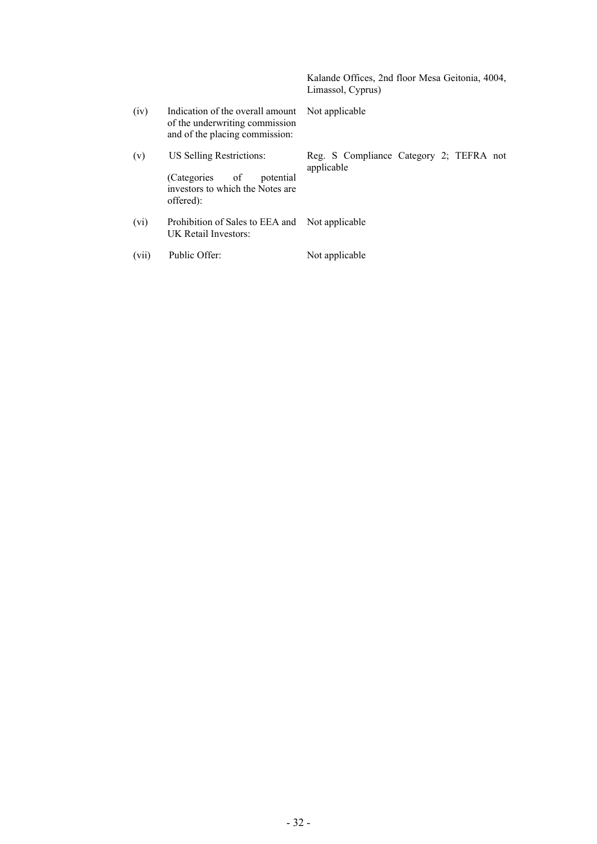Kalande Offices, 2nd floor Mesa Geitonia, 4004, Limassol, Cyprus) (iv) Indication of the overall amount of the underwriting commission and of the placing commission: Not applicable (v) US Selling Restrictions: (Categories of potential investors to which the Notes are offered): Reg. S Compliance Category 2; TEFRA not applicable (vi) Prohibition of Sales to EEA and UK Retail Investors: Not applicable (vii) Public Offer: Not applicable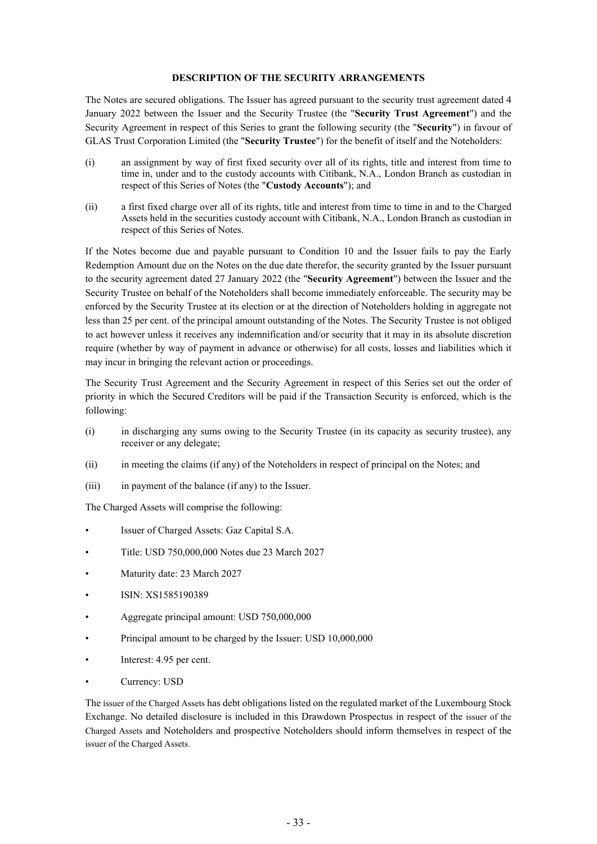#### <span id="page-35-0"></span>**DESCRIPTION OF THE SECURITY ARRANGEMENTS**

The Notes are secured obligations. The Issuer has agreed pursuant to the security trust agreement dated 4 January 2022 between the Issuer and the Security Trustee (the "**Security Trust Agreement**") and the Security Agreement in respect of this Series to grant the following security (the "**Security**") in favour of GLAS Trust Corporation Limited (the "**Security Trustee**") for the benefit of itself and the Noteholders:

- (i) an assignment by way of first fixed security over all of its rights, title and interest from time to time in, under and to the custody accounts with Citibank, N.A., London Branch as custodian in respect of this Series of Notes (the "**Custody Accounts**"); and
- (ii) a first fixed charge over all of its rights, title and interest from time to time in and to the Charged Assets held in the securities custody account with Citibank, N.A., London Branch as custodian in respect of this Series of Notes.

If the Notes become due and payable pursuant to Condition 10 and the Issuer fails to pay the Early Redemption Amount due on the Notes on the due date therefor, the security granted by the Issuer pursuant to the security agreement dated 27 January 2022 (the "**Security Agreement**") between the Issuer and the Security Trustee on behalf of the Noteholders shall become immediately enforceable. The security may be enforced by the Security Trustee at its election or at the direction of Noteholders holding in aggregate not less than 25 per cent. of the principal amount outstanding of the Notes. The Security Trustee is not obliged to act however unless it receives any indemnification and/or security that it may in its absolute discretion require (whether by way of payment in advance or otherwise) for all costs, losses and liabilities which it may incur in bringing the relevant action or proceedings.

The Security Trust Agreement and the Security Agreement in respect of this Series set out the order of priority in which the Secured Creditors will be paid if the Transaction Security is enforced, which is the following:

- (i) in discharging any sums owing to the Security Trustee (in its capacity as security trustee), any receiver or any delegate;
- (ii) in meeting the claims (if any) of the Noteholders in respect of principal on the Notes; and
- (iii) in payment of the balance (if any) to the Issuer.

The Charged Assets will comprise the following:

- Issuer of Charged Assets: Gaz Capital S.A.
- Title: USD 750,000,000 Notes due 23 March 2027
- Maturity date: 23 March 2027
- ISIN: XS1585190389
- Aggregate principal amount: USD 750,000,000
- Principal amount to be charged by the Issuer: USD 10,000,000
- Interest: 4.95 per cent.
- Currency: USD

The issuer of the Charged Assets has debt obligations listed on the regulated market of the Luxembourg Stock Exchange. No detailed disclosure is included in this Drawdown Prospectus in respect of the issuer of the Charged Assets and Noteholders and prospective Noteholders should inform themselves in respect of the issuer of the Charged Assets.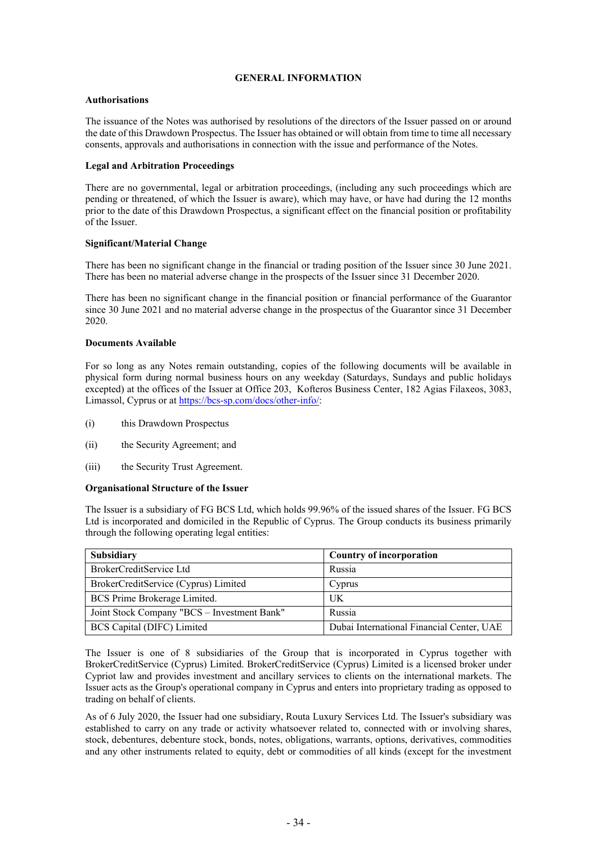#### <span id="page-36-0"></span>**GENERAL INFORMATION**

#### **Authorisations**

The issuance of the Notes was authorised by resolutions of the directors of the Issuer passed on or around the date of this Drawdown Prospectus. The Issuer has obtained or will obtain from time to time all necessary consents, approvals and authorisations in connection with the issue and performance of the Notes.

#### **Legal and Arbitration Proceedings**

There are no governmental, legal or arbitration proceedings, (including any such proceedings which are pending or threatened, of which the Issuer is aware), which may have, or have had during the 12 months prior to the date of this Drawdown Prospectus, a significant effect on the financial position or profitability of the Issuer.

#### **Significant/Material Change**

There has been no significant change in the financial or trading position of the Issuer since 30 June 2021. There has been no material adverse change in the prospects of the Issuer since 31 December 2020.

There has been no significant change in the financial position or financial performance of the Guarantor since 30 June 2021 and no material adverse change in the prospectus of the Guarantor since 31 December 2020.

#### **Documents Available**

For so long as any Notes remain outstanding, copies of the following documents will be available in physical form during normal business hours on any weekday (Saturdays, Sundays and public holidays excepted) at the offices of the Issuer at Office 203, Kofteros Business Center, 182 Agias Filaxeos, 3083, Limassol, Cyprus or at <https://bcs-sp.com/docs/other-info/>:

- (i) this Drawdown Prospectus
- (ii) the Security Agreement; and
- (iii) the Security Trust Agreement.

#### **Organisational Structure of the Issuer**

The Issuer is a subsidiary of FG BCS Ltd, which holds 99.96% of the issued shares of the Issuer. FG BCS Ltd is incorporated and domiciled in the Republic of Cyprus. The Group conducts its business primarily through the following operating legal entities:

| <b>Subsidiary</b>                           | Country of incorporation                  |
|---------------------------------------------|-------------------------------------------|
| BrokerCreditService Ltd                     | Russia                                    |
| BrokerCreditService (Cyprus) Limited        | Cyprus                                    |
| BCS Prime Brokerage Limited.                | UK                                        |
| Joint Stock Company "BCS - Investment Bank" | Russia                                    |
| BCS Capital (DIFC) Limited                  | Dubai International Financial Center, UAE |

The Issuer is one of 8 subsidiaries of the Group that is incorporated in Cyprus together with BrokerCreditService (Cyprus) Limited. BrokerCreditService (Cyprus) Limited is a licensed broker under Cypriot law and provides investment and ancillary services to clients on the international markets. The Issuer acts as the Group's operational company in Cyprus and enters into proprietary trading as opposed to trading on behalf of clients.

As of 6 July 2020, the Issuer had one subsidiary, Routa Luxury Services Ltd. The Issuer's subsidiary was established to carry on any trade or activity whatsoever related to, connected with or involving shares, stock, debentures, debenture stock, bonds, notes, obligations, warrants, options, derivatives, commodities and any other instruments related to equity, debt or commodities of all kinds (except for the investment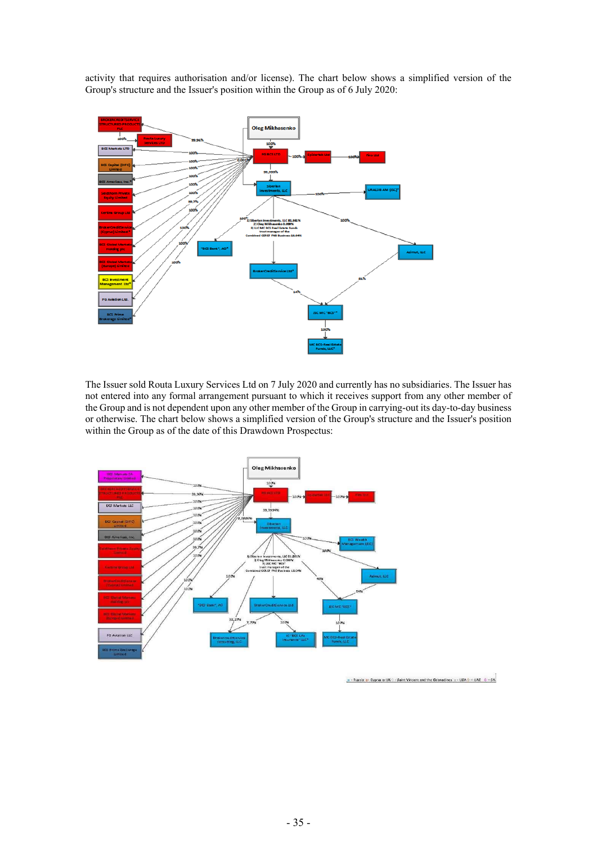activity that requires authorisation and/or license). The chart below shows a simplified version of the Group's structure and the Issuer's position within the Group as of 6 July 2020:



The Issuer sold Routa Luxury Services Ltd on 7 July 2020 and currently has no subsidiaries. The Issuer has not entered into any formal arrangement pursuant to which it receives support from any other member of the Group and is not dependent upon any other member of the Group in carrying-out its day-to-day business or otherwise. The chart below shows a simplified version of the Group's structure and the Issuer's position within the Group as of the date of this Drawdown Prospectus:



 $n -$  Russia n- Cyprus n-UK C - Saint Vincent and the Grenadines  $n -$  USA  $0 -$  UAE  $-$  O - SA